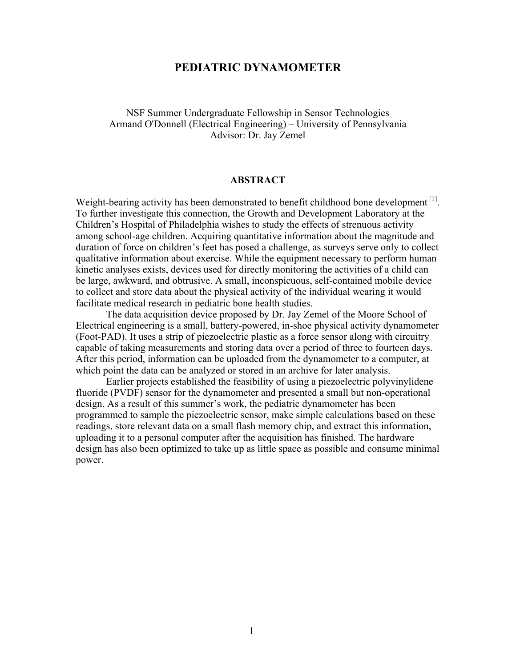### **PEDIATRIC DYNAMOMETER**

NSF Summer Undergraduate Fellowship in Sensor Technologies Armand O'Donnell (Electrical Engineering) – University of Pennsylvania Advisor: Dr. Jay Zemel

#### **ABSTRACT**

Weight-bearing activity has been demonstrated to benefit childhood bone development  $^{[1]}$ . To further investigate this connection, the Growth and Development Laboratory at the Children's Hospital of Philadelphia wishes to study the effects of strenuous activity among school-age children. Acquiring quantitative information about the magnitude and duration of force on children's feet has posed a challenge, as surveys serve only to collect qualitative information about exercise. While the equipment necessary to perform human kinetic analyses exists, devices used for directly monitoring the activities of a child can be large, awkward, and obtrusive. A small, inconspicuous, self-contained mobile device to collect and store data about the physical activity of the individual wearing it would facilitate medical research in pediatric bone health studies.

The data acquisition device proposed by Dr. Jay Zemel of the Moore School of Electrical engineering is a small, battery-powered, in-shoe physical activity dynamometer (Foot-PAD). It uses a strip of piezoelectric plastic as a force sensor along with circuitry capable of taking measurements and storing data over a period of three to fourteen days. After this period, information can be uploaded from the dynamometer to a computer, at which point the data can be analyzed or stored in an archive for later analysis.

Earlier projects established the feasibility of using a piezoelectric polyvinylidene fluoride (PVDF) sensor for the dynamometer and presented a small but non-operational design. As a result of this summer's work, the pediatric dynamometer has been programmed to sample the piezoelectric sensor, make simple calculations based on these readings, store relevant data on a small flash memory chip, and extract this information, uploading it to a personal computer after the acquisition has finished. The hardware design has also been optimized to take up as little space as possible and consume minimal power.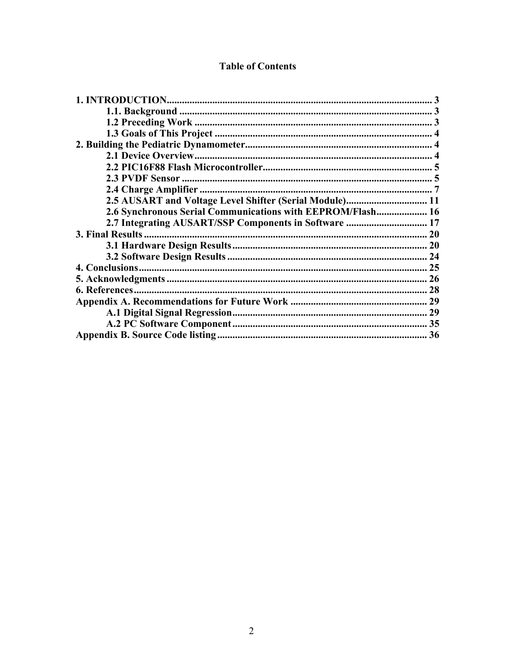# **Table of Contents**

| 2.5 AUSART and Voltage Level Shifter (Serial Module) 11    |    |
|------------------------------------------------------------|----|
| 2.6 Synchronous Serial Communications with EEPROM/Flash 16 |    |
| 2.7 Integrating AUSART/SSP Components in Software  17      |    |
|                                                            |    |
|                                                            |    |
|                                                            |    |
|                                                            |    |
|                                                            |    |
|                                                            |    |
|                                                            |    |
|                                                            |    |
|                                                            |    |
|                                                            | 36 |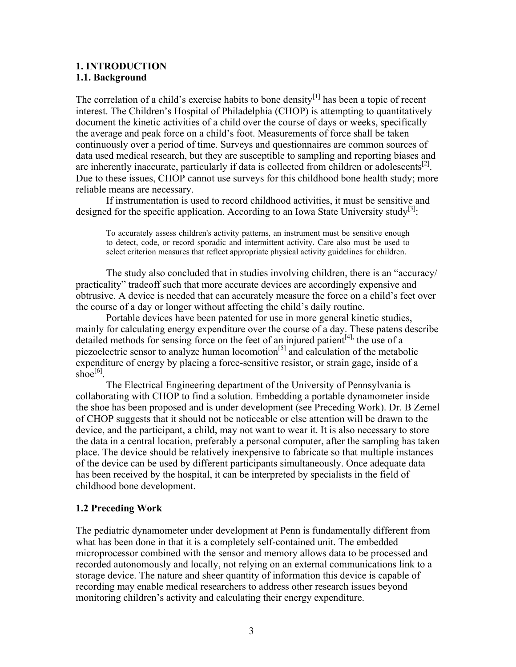## <span id="page-2-0"></span>**1. INTRODUCTION 1.1. Background**

The correlation of a child's exercise habits to bone density<sup>[1]</sup> has been a topic of recent interest. The Children's Hospital of Philadelphia (CHOP) is attempting to quantitatively document the kinetic activities of a child over the course of days or weeks, specifically the average and peak force on a child's foot. Measurements of force shall be taken continuously over a period of time. Surveys and questionnaires are common sources of data used medical research, but they are susceptible to sampling and reporting biases and are inherently inaccurate, particularly if data is collected from children or adolescents $^{[2]}$ . Due to these issues, CHOP cannot use surveys for this childhood bone health study; more reliable means are necessary.

If instrumentation is used to record childhood activities, it must be sensitive and designed for the specific application. According to an Iowa State University study<sup>[3]</sup>:

To accurately assess children's activity patterns, an instrument must be sensitive enough to detect, code, or record sporadic and intermittent activity. Care also must be used to select criterion measures that reflect appropriate physical activity guidelines for children.

The study also concluded that in studies involving children, there is an "accuracy/ practicality" tradeoff such that more accurate devices are accordingly expensive and obtrusive. A device is needed that can accurately measure the force on a child's feet over the course of a day or longer without affecting the child's daily routine.

Portable devices have been patented for use in more general kinetic studies, mainly for calculating energy expenditure over the course of a day. These patens describe detailed methods for sensing force on the feet of an injured patient<sup>[4],</sup> the use of a piezoelectric sensor to analyze human locomotion<sup>[5]</sup> and calculation of the metabolic expenditure of energy by placing a force-sensitive resistor, or strain gage, inside of a sho $e^{[6]}$ .

The Electrical Engineering department of the University of Pennsylvania is collaborating with CHOP to find a solution. Embedding a portable dynamometer inside the shoe has been proposed and is under development (see Preceding Work). Dr. B Zemel of CHOP suggests that it should not be noticeable or else attention will be drawn to the device, and the participant, a child, may not want to wear it. It is also necessary to store the data in a central location, preferably a personal computer, after the sampling has taken place. The device should be relatively inexpensive to fabricate so that multiple instances of the device can be used by different participants simultaneously. Once adequate data has been received by the hospital, it can be interpreted by specialists in the field of childhood bone development.

## **1.2 Preceding Work**

The pediatric dynamometer under development at Penn is fundamentally different from what has been done in that it is a completely self-contained unit. The embedded microprocessor combined with the sensor and memory allows data to be processed and recorded autonomously and locally, not relying on an external communications link to a storage device. The nature and sheer quantity of information this device is capable of recording may enable medical researchers to address other research issues beyond monitoring children's activity and calculating their energy expenditure.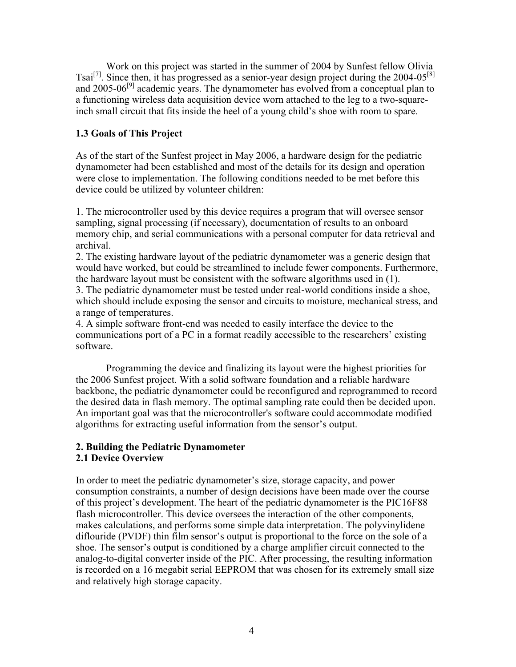<span id="page-3-0"></span>Work on this project was started in the summer of 2004 by Sunfest fellow Olivia Tsai<sup>[7]</sup>. Since then, it has progressed as a senior-year design project during the 2004-05<sup>[8]</sup> and  $2005-06^{9}$  academic years. The dynamometer has evolved from a conceptual plan to a functioning wireless data acquisition device worn attached to the leg to a two-squareinch small circuit that fits inside the heel of a young child's shoe with room to spare.

# **1.3 Goals of This Project**

As of the start of the Sunfest project in May 2006, a hardware design for the pediatric dynamometer had been established and most of the details for its design and operation were close to implementation. The following conditions needed to be met before this device could be utilized by volunteer children:

1. The microcontroller used by this device requires a program that will oversee sensor sampling, signal processing (if necessary), documentation of results to an onboard memory chip, and serial communications with a personal computer for data retrieval and archival.

2. The existing hardware layout of the pediatric dynamometer was a generic design that would have worked, but could be streamlined to include fewer components. Furthermore, the hardware layout must be consistent with the software algorithms used in (1).

3. The pediatric dynamometer must be tested under real-world conditions inside a shoe, which should include exposing the sensor and circuits to moisture, mechanical stress, and a range of temperatures.

4. A simple software front-end was needed to easily interface the device to the communications port of a PC in a format readily accessible to the researchers' existing software.

Programming the device and finalizing its layout were the highest priorities for the 2006 Sunfest project. With a solid software foundation and a reliable hardware backbone, the pediatric dynamometer could be reconfigured and reprogrammed to record the desired data in flash memory. The optimal sampling rate could then be decided upon. An important goal was that the microcontroller's software could accommodate modified algorithms for extracting useful information from the sensor's output.

## **2. Building the Pediatric Dynamometer 2.1 Device Overview**

In order to meet the pediatric dynamometer's size, storage capacity, and power consumption constraints, a number of design decisions have been made over the course of this project's development. The heart of the pediatric dynamometer is the PIC16F88 flash microcontroller. This device oversees the interaction of the other components, makes calculations, and performs some simple data interpretation. The polyvinylidene diflouride (PVDF) thin film sensor's output is proportional to the force on the sole of a shoe. The sensor's output is conditioned by a charge amplifier circuit connected to the analog-to-digital converter inside of the PIC. After processing, the resulting information is recorded on a 16 megabit serial EEPROM that was chosen for its extremely small size and relatively high storage capacity.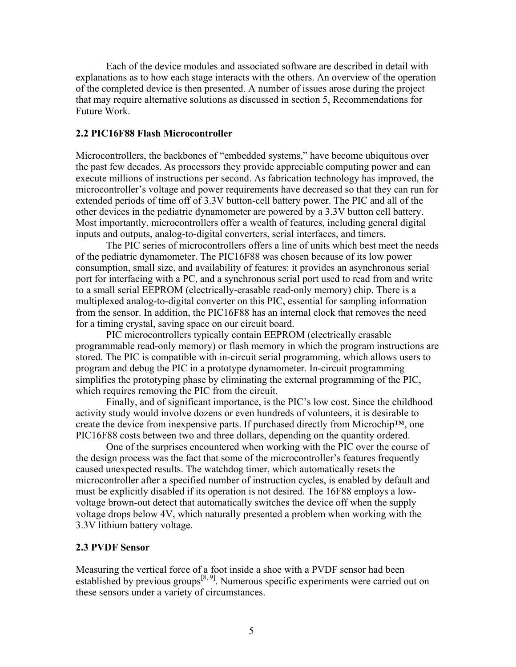<span id="page-4-0"></span>Each of the device modules and associated software are described in detail with explanations as to how each stage interacts with the others. An overview of the operation of the completed device is then presented. A number of issues arose during the project that may require alternative solutions as discussed in section 5, Recommendations for Future Work.

### **2.2 PIC16F88 Flash Microcontroller**

Microcontrollers, the backbones of "embedded systems," have become ubiquitous over the past few decades. As processors they provide appreciable computing power and can execute millions of instructions per second. As fabrication technology has improved, the microcontroller's voltage and power requirements have decreased so that they can run for extended periods of time off of 3.3V button-cell battery power. The PIC and all of the other devices in the pediatric dynamometer are powered by a 3.3V button cell battery. Most importantly, microcontrollers offer a wealth of features, including general digital inputs and outputs, analog-to-digital converters, serial interfaces, and timers.

The PIC series of microcontrollers offers a line of units which best meet the needs of the pediatric dynamometer. The PIC16F88 was chosen because of its low power consumption, small size, and availability of features: it provides an asynchronous serial port for interfacing with a PC, and a synchronous serial port used to read from and write to a small serial EEPROM (electrically-erasable read-only memory) chip. There is a multiplexed analog-to-digital converter on this PIC, essential for sampling information from the sensor. In addition, the PIC16F88 has an internal clock that removes the need for a timing crystal, saving space on our circuit board.

PIC microcontrollers typically contain EEPROM (electrically erasable programmable read-only memory) or flash memory in which the program instructions are stored. The PIC is compatible with in-circuit serial programming, which allows users to program and debug the PIC in a prototype dynamometer. In-circuit programming simplifies the prototyping phase by eliminating the external programming of the PIC, which requires removing the PIC from the circuit.

Finally, and of significant importance, is the PIC's low cost. Since the childhood activity study would involve dozens or even hundreds of volunteers, it is desirable to create the device from inexpensive parts. If purchased directly from Microchip<sup>™</sup>, one PIC16F88 costs between two and three dollars, depending on the quantity ordered.

One of the surprises encountered when working with the PIC over the course of the design process was the fact that some of the microcontroller's features frequently caused unexpected results. The watchdog timer, which automatically resets the microcontroller after a specified number of instruction cycles, is enabled by default and must be explicitly disabled if its operation is not desired. The 16F88 employs a lowvoltage brown-out detect that automatically switches the device off when the supply voltage drops below 4V, which naturally presented a problem when working with the 3.3V lithium battery voltage.

### **2.3 PVDF Sensor**

Measuring the vertical force of a foot inside a shoe with a PVDF sensor had been established by previous groups<sup>[8, 9]</sup>. Numerous specific experiments were carried out on these sensors under a variety of circumstances.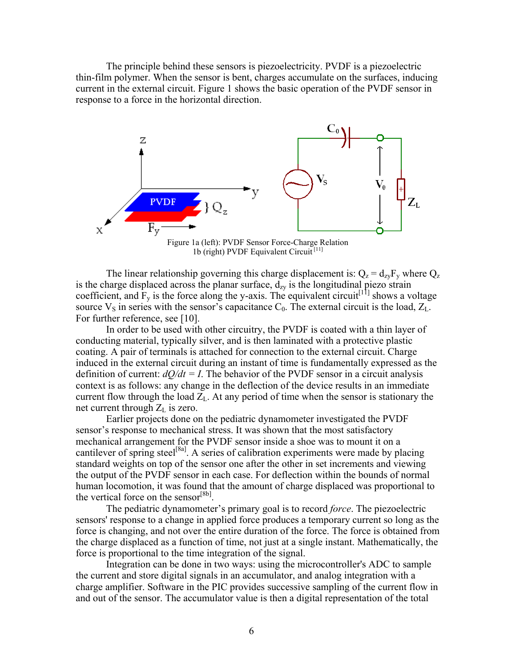The principle behind these sensors is piezoelectricity. PVDF is a piezoelectric thin-film polymer. When the sensor is bent, charges accumulate on the surfaces, inducing current in the external circuit. Figure 1 shows the basic operation of the PVDF sensor in response to a force in the horizontal direction.



 Figure 1a (left): PVDF Sensor Force-Charge Relation 1b (right) PVDF Equivalent Circuit<sup>[11]</sup>

The linear relationship governing this charge displacement is:  $Q_z = d_{zy}F_y$  where  $Q_z$ is the charge displaced across the planar surface,  $d_{zy}$  is the longitudinal piezo strain coefficient, and  $\overline{F}_y$  is the force along the y-axis. The equivalent circuit<sup>[11]</sup> shows a voltage source  $V_S$  in series with the sensor's capacitance  $C_0$ . The external circuit is the load,  $Z_L$ . For further reference, see [10].

In order to be used with other circuitry, the PVDF is coated with a thin layer of conducting material, typically silver, and is then laminated with a protective plastic coating. A pair of terminals is attached for connection to the external circuit. Charge induced in the external circuit during an instant of time is fundamentally expressed as the definition of current:  $dQ/dt = I$ . The behavior of the PVDF sensor in a circuit analysis context is as follows: any change in the deflection of the device results in an immediate current flow through the load  $Z_L$ . At any period of time when the sensor is stationary the net current through  $Z_L$  is zero.

Earlier projects done on the pediatric dynamometer investigated the PVDF sensor's response to mechanical stress. It was shown that the most satisfactory mechanical arrangement for the PVDF sensor inside a shoe was to mount it on a cantilever of spring steel<sup>[8a]</sup>. A series of calibration experiments were made by placing standard weights on top of the sensor one after the other in set increments and viewing the output of the PVDF sensor in each case. For deflection within the bounds of normal human locomotion, it was found that the amount of charge displaced was proportional to the vertical force on the sensor $^{[8b]}$ .

The pediatric dynamometer's primary goal is to record *force*. The piezoelectric sensors' response to a change in applied force produces a temporary current so long as the force is changing, and not over the entire duration of the force. The force is obtained from the charge displaced as a function of time, not just at a single instant. Mathematically, the force is proportional to the time integration of the signal.

Integration can be done in two ways: using the microcontroller's ADC to sample the current and store digital signals in an accumulator, and analog integration with a charge amplifier. Software in the PIC provides successive sampling of the current flow in and out of the sensor. The accumulator value is then a digital representation of the total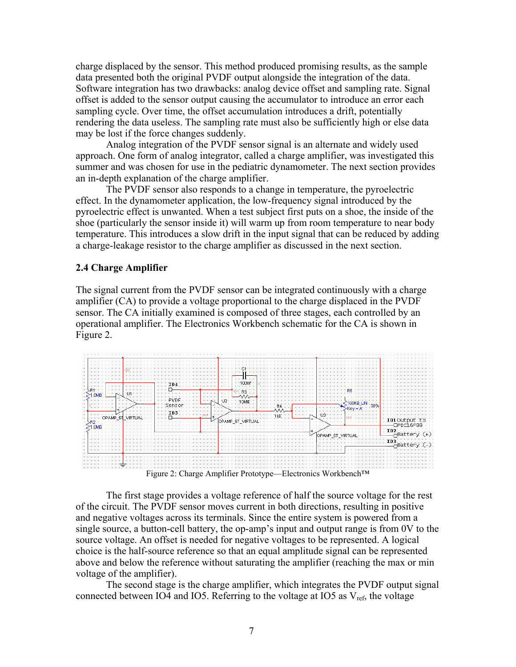<span id="page-6-0"></span>charge displaced by the sensor. This method produced promising results, as the sample data presented both the original PVDF output alongside the integration of the data. Software integration has two drawbacks: analog device offset and sampling rate. Signal offset is added to the sensor output causing the accumulator to introduce an error each sampling cycle. Over time, the offset accumulation introduces a drift, potentially rendering the data useless. The sampling rate must also be sufficiently high or else data may be lost if the force changes suddenly.

Analog integration of the PVDF sensor signal is an alternate and widely used approach. One form of analog integrator, called a charge amplifier, was investigated this summer and was chosen for use in the pediatric dynamometer. The next section provides an in-depth explanation of the charge amplifier.

The PVDF sensor also responds to a change in temperature, the pyroelectric effect. In the dynamometer application, the low-frequency signal introduced by the pyroelectric effect is unwanted. When a test subject first puts on a shoe, the inside of the shoe (particularly the sensor inside it) will warm up from room temperature to near body temperature. This introduces a slow drift in the input signal that can be reduced by adding a charge-leakage resistor to the charge amplifier as discussed in the next section.

### **2.4 Charge Amplifier**

voltage of the amplifier).

The signal current from the PVDF sensor can be integrated continuously with a charge amplifier (CA) to provide a voltage proportional to the charge displaced in the PVDF sensor. The CA initially examined is composed of three stages, each controlled by an operational amplifier. The Electronics Workbench schematic for the CA is shown in Figure 2.



The first stage provides a voltage reference of half the source voltage for the rest of the circuit. The PVDF sensor moves current in both directions, resulting in positive and negative voltages across its terminals. Since the entire system is powered from a single source, a button-cell battery, the op-amp's input and output range is from 0V to the source voltage. An offset is needed for negative voltages to be represented. A logical choice is the half-source reference so that an equal amplitude signal can be represented above and below the reference without saturating the amplifier (reaching the max or min

The second stage is the charge amplifier, which integrates the PVDF output signal connected between IO4 and IO5. Referring to the voltage at IO5 as  $V_{ref}$ , the voltage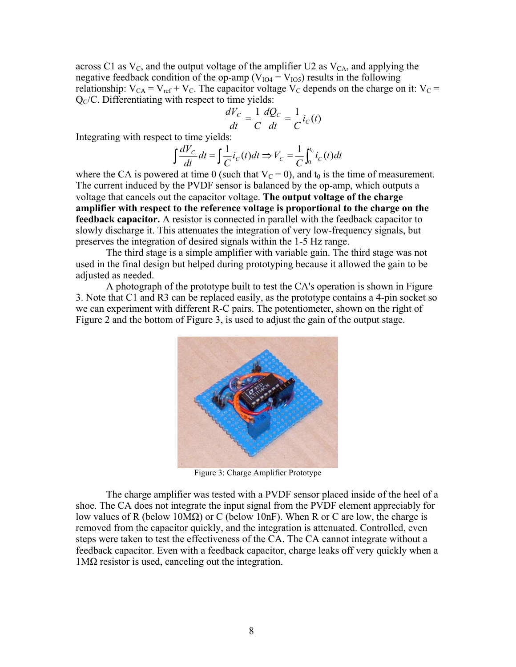across C1 as  $V_c$ , and the output voltage of the amplifier U2 as  $V_{CA}$ , and applying the negative feedback condition of the op-amp ( $V_{IO4} = V_{IO5}$ ) results in the following relationship:  $V_{CA} = V_{ref} + V_C$ . The capacitor voltage  $V_C$  depends on the charge on it:  $V_C$  =  $Q<sub>C</sub>/C$ . Differentiating with respect to time yields:

$$
\frac{dV_C}{dt} = \frac{1}{C} \frac{dQ_C}{dt} = \frac{1}{C} i_C(t)
$$

Integrating with respect to time yields:

$$
\int \frac{dV_C}{dt} dt = \int \frac{1}{C} i_C(t) dt \Rightarrow V_C = \frac{1}{C} \int_0^{t_0} i_C(t) dt
$$

where the CA is powered at time 0 (such that  $V<sub>C</sub> = 0$ ), and  $t<sub>0</sub>$  is the time of measurement. The current induced by the PVDF sensor is balanced by the op-amp, which outputs a voltage that cancels out the capacitor voltage. **The output voltage of the charge amplifier with respect to the reference voltage is proportional to the charge on the feedback capacitor.** A resistor is connected in parallel with the feedback capacitor to slowly discharge it. This attenuates the integration of very low-frequency signals, but preserves the integration of desired signals within the 1-5 Hz range.

The third stage is a simple amplifier with variable gain. The third stage was not used in the final design but helped during prototyping because it allowed the gain to be adjusted as needed.

A photograph of the prototype built to test the CA's operation is shown in Figure 3. Note that C1 and R3 can be replaced easily, as the prototype contains a 4-pin socket so we can experiment with different R-C pairs. The potentiometer, shown on the right of Figure 2 and the bottom of Figure 3, is used to adjust the gain of the output stage.



Figure 3: Charge Amplifier Prototype

The charge amplifier was tested with a PVDF sensor placed inside of the heel of a shoe. The CA does not integrate the input signal from the PVDF element appreciably for low values of R (below 10MΩ) or C (below 10nF). When R or C are low, the charge is removed from the capacitor quickly, and the integration is attenuated. Controlled, even steps were taken to test the effectiveness of the CA. The CA cannot integrate without a feedback capacitor. Even with a feedback capacitor, charge leaks off very quickly when a  $1MΩ$  resistor is used, canceling out the integration.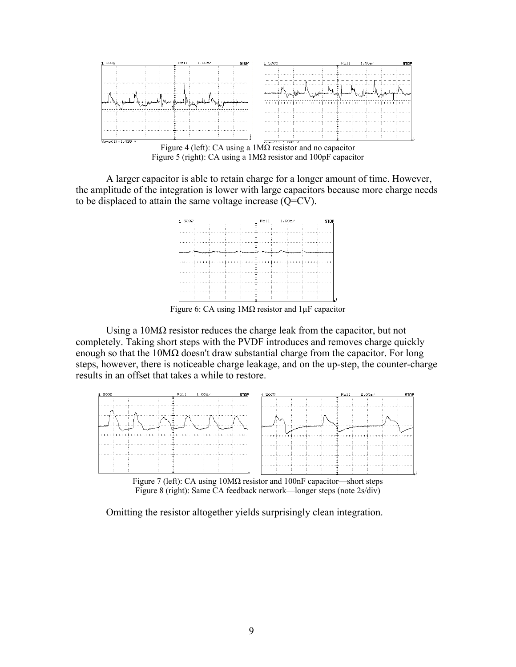



A larger capacitor is able to retain charge for a longer amount of time. However, the amplitude of the integration is lower with large capacitors because more charge needs to be displaced to attain the same voltage increase (Q=CV).



Figure 6: CA using 1MΩ resistor and 1µF capacitor

Using a  $10\text{M}\Omega$  resistor reduces the charge leak from the capacitor, but not completely. Taking short steps with the PVDF introduces and removes charge quickly enough so that the  $10M\Omega$  doesn't draw substantial charge from the capacitor. For long steps, however, there is noticeable charge leakage, and on the up-step, the counter-charge results in an offset that takes a while to restore.



Figure 7 (left): CA using  $10M\Omega$  resistor and  $100nF$  capacitor—short steps Figure 8 (right): Same CA feedback network—longer steps (note 2s/div)

Omitting the resistor altogether yields surprisingly clean integration.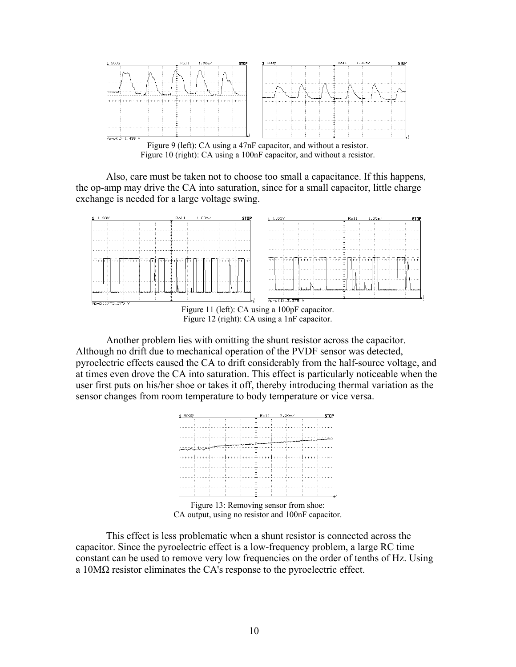

 Figure 9 (left): CA using a 47nF capacitor, and without a resistor. Figure 10 (right): CA using a 100nF capacitor, and without a resistor.

Also, care must be taken not to choose too small a capacitance. If this happens, the op-amp may drive the CA into saturation, since for a small capacitor, little charge exchange is needed for a large voltage swing.



Figure 12 (right): CA using a 1nF capacitor. Another problem lies with omitting the shunt resistor across the capacitor.

Although no drift due to mechanical operation of the PVDF sensor was detected, pyroelectric effects caused the CA to drift considerably from the half-source voltage, and at times even drove the CA into saturation. This effect is particularly noticeable when the user first puts on his/her shoe or takes it off, thereby introducing thermal variation as the sensor changes from room temperature to body temperature or vice versa.



Figure 13: Removing sensor from shoe: CA output, using no resistor and 100nF capacitor.

This effect is less problematic when a shunt resistor is connected across the capacitor. Since the pyroelectric effect is a low-frequency problem, a large RC time constant can be used to remove very low frequencies on the order of tenths of Hz. Using a 10MΩ resistor eliminates the CA's response to the pyroelectric effect.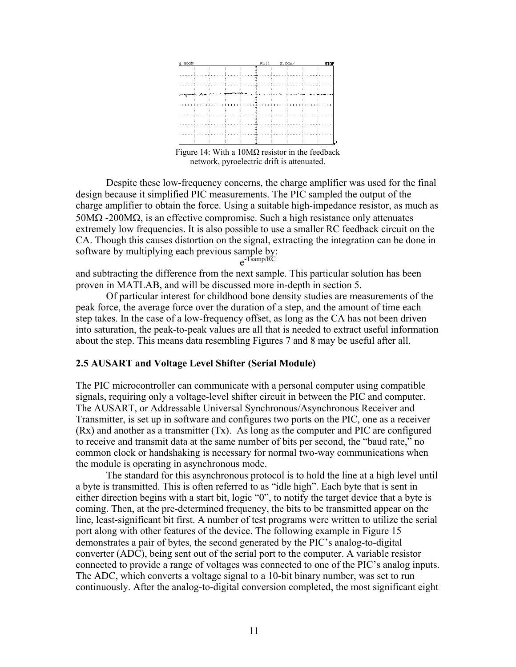<span id="page-10-0"></span>

Figure 14: With a  $10MΩ$  resistor in the feedback network, pyroelectric drift is attenuated.

Despite these low-frequency concerns, the charge amplifier was used for the final design because it simplified PIC measurements. The PIC sampled the output of the charge amplifier to obtain the force. Using a suitable high-impedance resistor, as much as 50MΩ -200MΩ, is an effective compromise. Such a high resistance only attenuates extremely low frequencies. It is also possible to use a smaller RC feedback circuit on the CA. Though this causes distortion on the signal, extracting the integration can be done in software by multiplying each previous sample by:

e -Tsamp/RC

and subtracting the difference from the next sample. This particular solution has been proven in MATLAB, and will be discussed more in-depth in section 5.

Of particular interest for childhood bone density studies are measurements of the peak force, the average force over the duration of a step, and the amount of time each step takes. In the case of a low-frequency offset, as long as the CA has not been driven into saturation, the peak-to-peak values are all that is needed to extract useful information about the step. This means data resembling Figures 7 and 8 may be useful after all.

### **2.5 AUSART and Voltage Level Shifter (Serial Module)**

The PIC microcontroller can communicate with a personal computer using compatible signals, requiring only a voltage-level shifter circuit in between the PIC and computer. The AUSART, or Addressable Universal Synchronous/Asynchronous Receiver and Transmitter, is set up in software and configures two ports on the PIC, one as a receiver (Rx) and another as a transmitter (Tx). As long as the computer and PIC are configured to receive and transmit data at the same number of bits per second, the "baud rate," no common clock or handshaking is necessary for normal two-way communications when the module is operating in asynchronous mode.

The standard for this asynchronous protocol is to hold the line at a high level until a byte is transmitted. This is often referred to as "idle high". Each byte that is sent in either direction begins with a start bit, logic "0", to notify the target device that a byte is coming. Then, at the pre-determined frequency, the bits to be transmitted appear on the line, least-significant bit first. A number of test programs were written to utilize the serial port along with other features of the device. The following example in Figure 15 demonstrates a pair of bytes, the second generated by the PIC's analog-to-digital converter (ADC), being sent out of the serial port to the computer. A variable resistor connected to provide a range of voltages was connected to one of the PIC's analog inputs. The ADC, which converts a voltage signal to a 10-bit binary number, was set to run continuously. After the analog-to-digital conversion completed, the most significant eight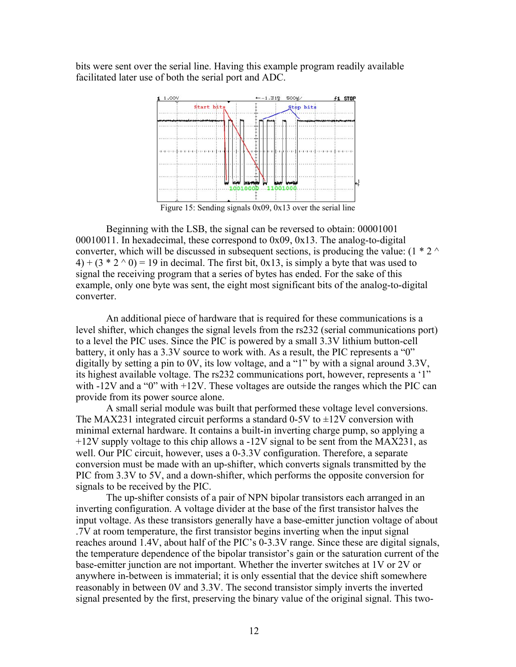bits were sent over the serial line. Having this example program readily available facilitated later use of both the serial port and ADC.



Figure 15: Sending signals 0x09, 0x13 over the serial line

Beginning with the LSB, the signal can be reversed to obtain: 00001001 00010011. In hexadecimal, these correspond to 0x09, 0x13. The analog-to-digital converter, which will be discussed in subsequent sections, is producing the value:  $(1 * 2^{\wedge})$  $(4) + (3 * 2^{\wedge} 0) = 19$  in decimal. The first bit, 0x13, is simply a byte that was used to signal the receiving program that a series of bytes has ended. For the sake of this example, only one byte was sent, the eight most significant bits of the analog-to-digital converter.

An additional piece of hardware that is required for these communications is a level shifter, which changes the signal levels from the rs232 (serial communications port) to a level the PIC uses. Since the PIC is powered by a small 3.3V lithium button-cell battery, it only has a 3.3V source to work with. As a result, the PIC represents a "0" digitally by setting a pin to 0V, its low voltage, and a "1" by with a signal around 3.3V, its highest available voltage. The rs232 communications port, however, represents a '1" with -12V and a "0" with +12V. These voltages are outside the ranges which the PIC can provide from its power source alone.

A small serial module was built that performed these voltage level conversions. The MAX231 integrated circuit performs a standard  $0-5V$  to  $\pm 12V$  conversion with minimal external hardware. It contains a built-in inverting charge pump, so applying a  $+12V$  supply voltage to this chip allows a  $-12V$  signal to be sent from the MAX231, as well. Our PIC circuit, however, uses a 0-3.3V configuration. Therefore, a separate conversion must be made with an up-shifter, which converts signals transmitted by the PIC from 3.3V to 5V, and a down-shifter, which performs the opposite conversion for signals to be received by the PIC.

The up-shifter consists of a pair of NPN bipolar transistors each arranged in an inverting configuration. A voltage divider at the base of the first transistor halves the input voltage. As these transistors generally have a base-emitter junction voltage of about .7V at room temperature, the first transistor begins inverting when the input signal reaches around 1.4V, about half of the PIC's 0-3.3V range. Since these are digital signals, the temperature dependence of the bipolar transistor's gain or the saturation current of the base-emitter junction are not important. Whether the inverter switches at 1V or 2V or anywhere in-between is immaterial; it is only essential that the device shift somewhere reasonably in between 0V and 3.3V. The second transistor simply inverts the inverted signal presented by the first, preserving the binary value of the original signal. This two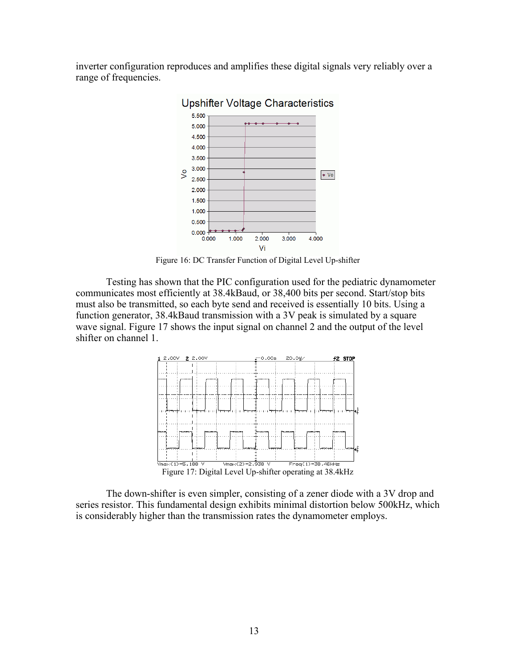inverter configuration reproduces and amplifies these digital signals very reliably over a range of frequencies.



**Upshifter Voltage Characteristics** 

Figure 16: DC Transfer Function of Digital Level Up-shifter

Testing has shown that the PIC configuration used for the pediatric dynamometer communicates most efficiently at 38.4kBaud, or 38,400 bits per second. Start/stop bits must also be transmitted, so each byte send and received is essentially 10 bits. Using a function generator, 38.4kBaud transmission with a 3V peak is simulated by a square wave signal. Figure 17 shows the input signal on channel 2 and the output of the level shifter on channel 1.



The down-shifter is even simpler, consisting of a zener diode with a 3V drop and series resistor. This fundamental design exhibits minimal distortion below 500kHz, which is considerably higher than the transmission rates the dynamometer employs.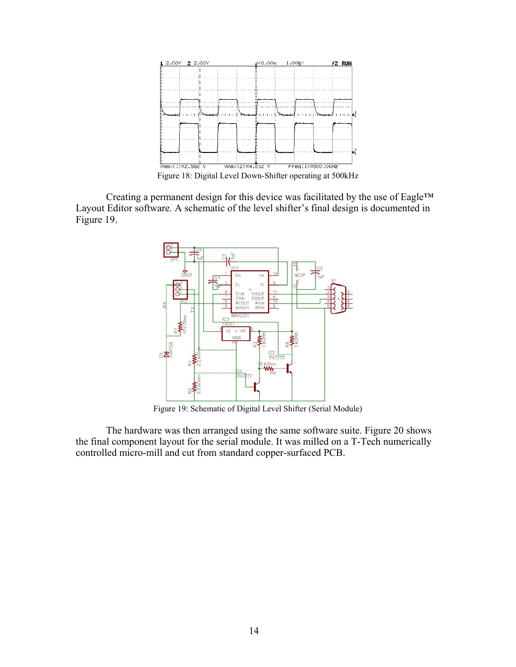

Figure 18: Digital Level Down-Shifter operating at 500kHz

Creating a permanent design for this device was facilitated by the use of Eagle™ Layout Editor software. A schematic of the level shifter's final design is documented in Figure 19.



Figure 19: Schematic of Digital Level Shifter (Serial Module)

The hardware was then arranged using the same software suite. Figure 20 shows the final component layout for the serial module. It was milled on a T-Tech numerically controlled micro-mill and cut from standard copper-surfaced PCB.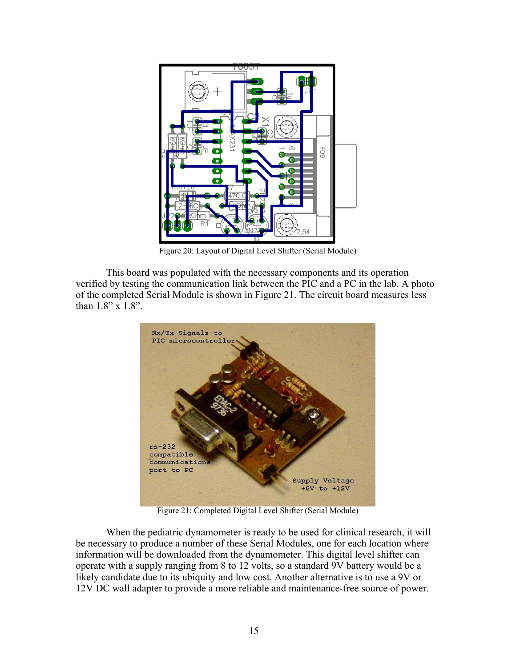

Figure 20: Layout of Digital Level Shifter (Serial Module)

This board was populated with the necessary components and its operation verified by testing the communication link between the PIC and a PC in the lab. A photo of the completed Serial Module is shown in Figure 21. The circuit board measures less than 1.8" x 1.8".



Figure 21: Completed Digital Level Shifter (Serial Module)

When the pediatric dynamometer is ready to be used for clinical research, it will be necessary to produce a number of these Serial Modules, one for each location where information will be downloaded from the dynamometer. This digital level shifter can operate with a supply ranging from 8 to 12 volts, so a standard 9V battery would be a likely candidate due to its ubiquity and low cost. Another alternative is to use a 9V or 12V DC wall adapter to provide a more reliable and maintenance-free source of power.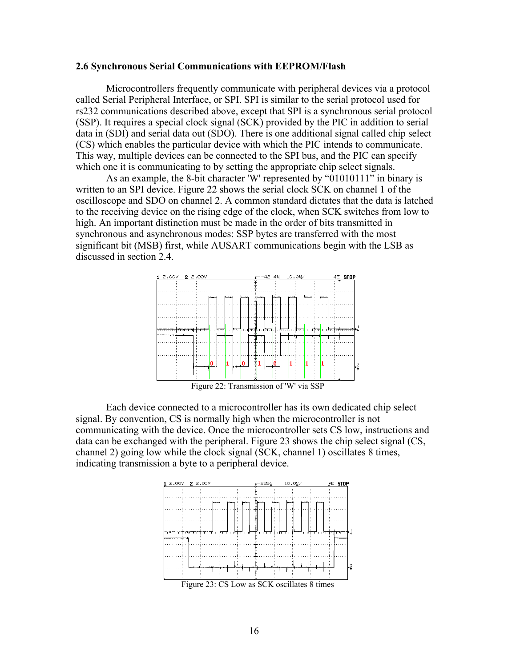#### <span id="page-15-0"></span>**2.6 Synchronous Serial Communications with EEPROM/Flash**

Microcontrollers frequently communicate with peripheral devices via a protocol called Serial Peripheral Interface, or SPI. SPI is similar to the serial protocol used for rs232 communications described above, except that SPI is a synchronous serial protocol (SSP). It requires a special clock signal (SCK) provided by the PIC in addition to serial data in (SDI) and serial data out (SDO). There is one additional signal called chip select (CS) which enables the particular device with which the PIC intends to communicate. This way, multiple devices can be connected to the SPI bus, and the PIC can specify which one it is communicating to by setting the appropriate chip select signals.

As an example, the 8-bit character 'W' represented by "01010111" in binary is written to an SPI device. Figure 22 shows the serial clock SCK on channel 1 of the oscilloscope and SDO on channel 2. A common standard dictates that the data is latched to the receiving device on the rising edge of the clock, when SCK switches from low to high. An important distinction must be made in the order of bits transmitted in synchronous and asynchronous modes: SSP bytes are transferred with the most significant bit (MSB) first, while AUSART communications begin with the LSB as discussed in section 2.4.



Each device connected to a microcontroller has its own dedicated chip select signal. By convention, CS is normally high when the microcontroller is not communicating with the device. Once the microcontroller sets CS low, instructions and data can be exchanged with the peripheral. Figure 23 shows the chip select signal (CS, channel 2) going low while the clock signal (SCK, channel 1) oscillates 8 times, indicating transmission a byte to a peripheral device.



Figure 23: CS Low as SCK oscillates 8 times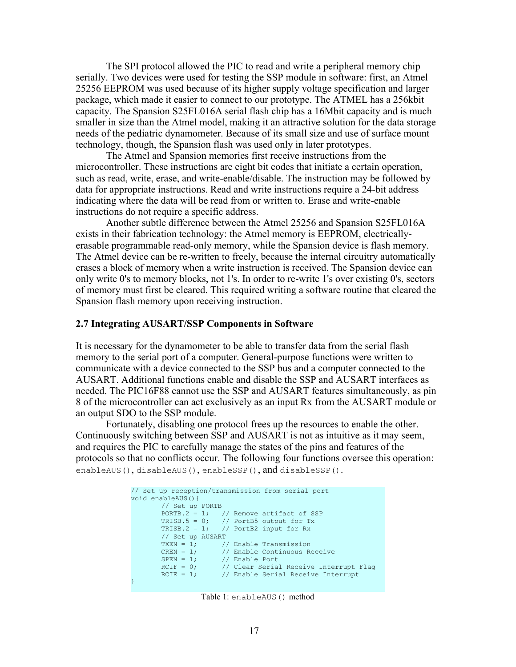<span id="page-16-0"></span>The SPI protocol allowed the PIC to read and write a peripheral memory chip serially. Two devices were used for testing the SSP module in software: first, an Atmel 25256 EEPROM was used because of its higher supply voltage specification and larger package, which made it easier to connect to our prototype. The ATMEL has a 256kbit capacity. The Spansion S25FL016A serial flash chip has a 16Mbit capacity and is much smaller in size than the Atmel model, making it an attractive solution for the data storage needs of the pediatric dynamometer. Because of its small size and use of surface mount technology, though, the Spansion flash was used only in later prototypes.

The Atmel and Spansion memories first receive instructions from the microcontroller. These instructions are eight bit codes that initiate a certain operation, such as read, write, erase, and write-enable/disable. The instruction may be followed by data for appropriate instructions. Read and write instructions require a 24-bit address indicating where the data will be read from or written to. Erase and write-enable instructions do not require a specific address.

Another subtle difference between the Atmel 25256 and Spansion S25FL016A exists in their fabrication technology: the Atmel memory is EEPROM, electricallyerasable programmable read-only memory, while the Spansion device is flash memory. The Atmel device can be re-written to freely, because the internal circuitry automatically erases a block of memory when a write instruction is received. The Spansion device can only write 0's to memory blocks, not 1's. In order to re-write 1's over existing 0's, sectors of memory must first be cleared. This required writing a software routine that cleared the Spansion flash memory upon receiving instruction.

#### **2.7 Integrating AUSART/SSP Components in Software**

It is necessary for the dynamometer to be able to transfer data from the serial flash memory to the serial port of a computer. General-purpose functions were written to communicate with a device connected to the SSP bus and a computer connected to the AUSART. Additional functions enable and disable the SSP and AUSART interfaces as needed. The PIC16F88 cannot use the SSP and AUSART features simultaneously, as pin 8 of the microcontroller can act exclusively as an input Rx from the AUSART module or an output SDO to the SSP module.

Fortunately, disabling one protocol frees up the resources to enable the other. Continuously switching between SSP and AUSART is not as intuitive as it may seem, and requires the PIC to carefully manage the states of the pins and features of the protocols so that no conflicts occur. The following four functions oversee this operation: enableAUS(), disableAUS(), enableSSP(), and disableSSP().

```
// Set up reception/transmission from serial port 
void enableAUS(){ 
      // Set up PORTB 
      PORTB.2 = 1; \frac{1}{2} // Remove artifact of SSP
       TRISB.5 = 0; // PortB5 output for Tx
       TRISB.2 = 1; // PortB2 input for Rx
      // Set up AUSART 
      TXEN = 1; // Enable Transmission 
       CREN = 1; // Enable Continuous Receive 
       SPEN = 1; // Enable Port
       RCIF = 0; // Clear Serial Receive Interrupt Flag
       RCIE = 1; // Enable Serial Receive Interrupt
}
```
Table 1: enableAUS() method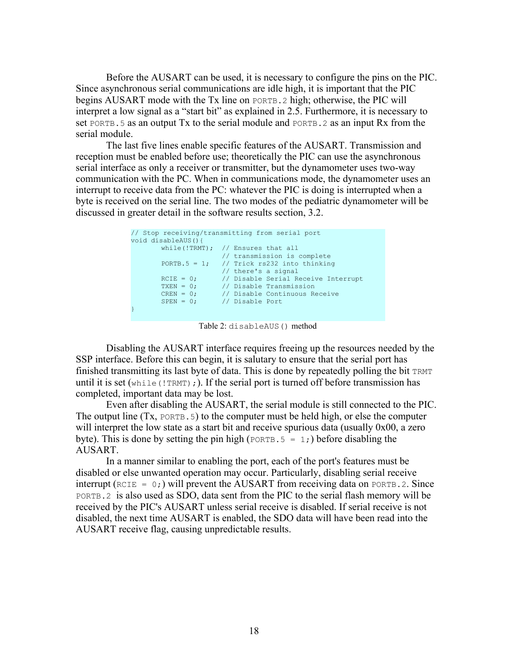Before the AUSART can be used, it is necessary to configure the pins on the PIC. Since asynchronous serial communications are idle high, it is important that the PIC begins AUSART mode with the Tx line on PORTB.2 high; otherwise, the PIC will interpret a low signal as a "start bit" as explained in 2.5. Furthermore, it is necessary to set PORTB. 5 as an output Tx to the serial module and PORTB. 2 as an input Rx from the serial module.

The last five lines enable specific features of the AUSART. Transmission and reception must be enabled before use; theoretically the PIC can use the asynchronous serial interface as only a receiver or transmitter, but the dynamometer uses two-way communication with the PC. When in communications mode, the dynamometer uses an interrupt to receive data from the PC: whatever the PIC is doing is interrupted when a byte is received on the serial line. The two modes of the pediatric dynamometer will be discussed in greater detail in the software results section, 3.2.

```
// Stop receiving/transmitting from serial port 
void disableAUS(){ 
     while(!TRMT); // Ensures that all 
 // transmission is complete 
      PORTB.5 = 1; // Trick rs232 into thinking
      // there's a signal 
      RCIE = 0; // Disable Serial Receive Interrupt
      TXEN = 0; // Disable Transmission 
      CREN = 0; // Disable Continuous Receive 
      SPEN = 0; // Disable Port 
}
```
Table 2: disableAUS() method

Disabling the AUSART interface requires freeing up the resources needed by the SSP interface. Before this can begin, it is salutary to ensure that the serial port has finished transmitting its last byte of data. This is done by repeatedly polling the bit TRMT until it is set (while(!TRMT);). If the serial port is turned off before transmission has completed, important data may be lost.

Even after disabling the AUSART, the serial module is still connected to the PIC. The output line  $(Tx, PORTB.5)$  to the computer must be held high, or else the computer will interpret the low state as a start bit and receive spurious data (usually 0x00, a zero byte). This is done by setting the pin high (PORTB.  $5 = 1$ ;) before disabling the AUSART.

In a manner similar to enabling the port, each of the port's features must be disabled or else unwanted operation may occur. Particularly, disabling serial receive interrupt (RCIE =  $0$ ;) will prevent the AUSART from receiving data on PORTB. 2. Since PORTB.2 is also used as SDO, data sent from the PIC to the serial flash memory will be received by the PIC's AUSART unless serial receive is disabled. If serial receive is not disabled, the next time AUSART is enabled, the SDO data will have been read into the AUSART receive flag, causing unpredictable results.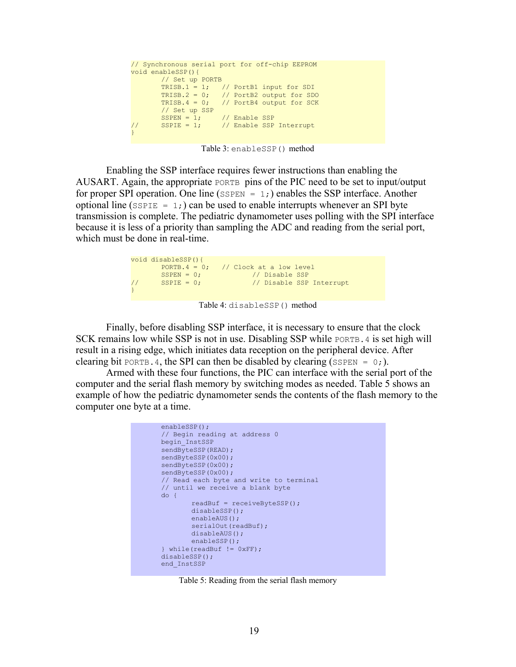| // Synchronous serial port for off-chip EEPROM |  |  |  |  |  |
|------------------------------------------------|--|--|--|--|--|
| void enableSSP()                               |  |  |  |  |  |
| // Set up PORTB                                |  |  |  |  |  |
| TRISB.1 = 1; $//$ PortB1 input for SDI         |  |  |  |  |  |
| TRISB. $2 = 0$ ; // PortB2 output for SDO      |  |  |  |  |  |
| TRISB. $4 = 0$ ; // PortB4 output for SCK      |  |  |  |  |  |
| // Set up SSP                                  |  |  |  |  |  |
| $SSPEN = 1;$ // Enable SSP                     |  |  |  |  |  |
| SSPIE = $1$ ; // Enable SSP Interrupt          |  |  |  |  |  |
|                                                |  |  |  |  |  |

Table 3: enableSSP() method

Enabling the SSP interface requires fewer instructions than enabling the AUSART. Again, the appropriate PORTB pins of the PIC need to be set to input/output for proper SPI operation. One line ( $SPERN = 1$ ;) enables the SSP interface. Another optional line ( $SSEIE = 1$ ;) can be used to enable interrupts whenever an SPI byte transmission is complete. The pediatric dynamometer uses polling with the SPI interface because it is less of a priority than sampling the ADC and reading from the serial port, which must be done in real-time.

```
void disableSSP(){ 
     PORTB. 4 = 0; // Clock at a low level
      SSPEN = 0; // Disable SSP
// SSPIE = 0; // Disable SSP Interrupt
}
```
Table 4: disableSSP() method

Finally, before disabling SSP interface, it is necessary to ensure that the clock SCK remains low while SSP is not in use. Disabling SSP while PORTB 4 is set high will result in a rising edge, which initiates data reception on the peripheral device. After clearing bit PORTB. 4, the SPI can then be disabled by clearing (SSPEN =  $0$ ;).

Armed with these four functions, the PIC can interface with the serial port of the computer and the serial flash memory by switching modes as needed. Table 5 shows an example of how the pediatric dynamometer sends the contents of the flash memory to the computer one byte at a time.

```
 enableSSP(); 
// Begin reading at address 0 
 begin_InstSSP 
sendByteSSP(READ);
sendByteSSP(0x00);
sendByteSSP(0x00);
 sendByteSSP(0x00); 
// Read each byte and write to terminal 
// until we receive a blank byte 
 do { 
        readBuf = receiveBytesP();
         disableSSP(); 
        enableAUS();
         serialOut(readBuf); 
         disableAUS(); 
         enableSSP(); 
} while(readBuf != 0xFF); 
 disableSSP(); 
 end_InstSSP
```
Table 5: Reading from the serial flash memory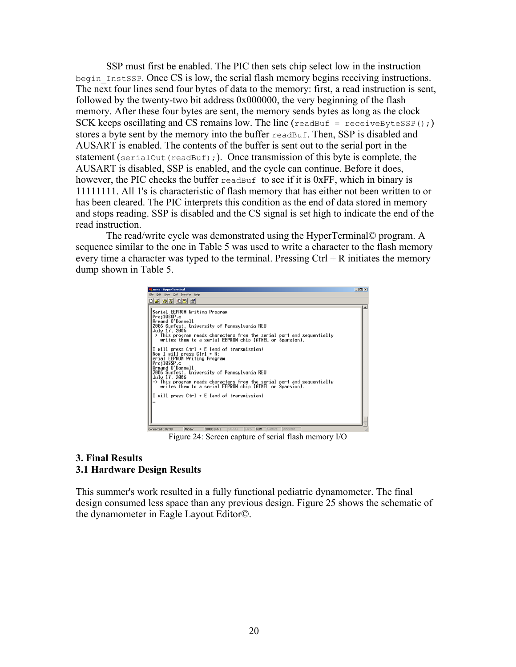<span id="page-19-0"></span>SSP must first be enabled. The PIC then sets chip select low in the instruction begin InstSSP. Once CS is low, the serial flash memory begins receiving instructions. The next four lines send four bytes of data to the memory: first, a read instruction is sent, followed by the twenty-two bit address 0x000000, the very beginning of the flash memory. After these four bytes are sent, the memory sends bytes as long as the clock SCK keeps oscillating and CS remains low. The line (readBuf = receiveByteSSP();) stores a byte sent by the memory into the buffer readBuf. Then, SSP is disabled and AUSART is enabled. The contents of the buffer is sent out to the serial port in the statement (serialOut (readBuf);). Once transmission of this byte is complete, the AUSART is disabled, SSP is enabled, and the cycle can continue. Before it does, however, the PIC checks the buffer  $_{\text{readBuf}}$  to see if it is 0xFF, which in binary is 11111111. All 1's is characteristic of flash memory that has either not been written to or has been cleared. The PIC interprets this condition as the end of data stored in memory and stops reading. SSP is disabled and the CS signal is set high to indicate the end of the read instruction.

The read/write cycle was demonstrated using the HyperTerminal© program. A sequence similar to the one in Table 5 was used to write a character to the flash memory every time a character was typed to the terminal. Pressing  $Ctrl + R$  initiates the memory dump shown in Table 5.



Figure 24: Screen capture of serial flash memory I/O

# **3. Final Results 3.1 Hardware Design Results**

This summer's work resulted in a fully functional pediatric dynamometer. The final design consumed less space than any previous design. Figure 25 shows the schematic of the dynamometer in Eagle Layout Editor©.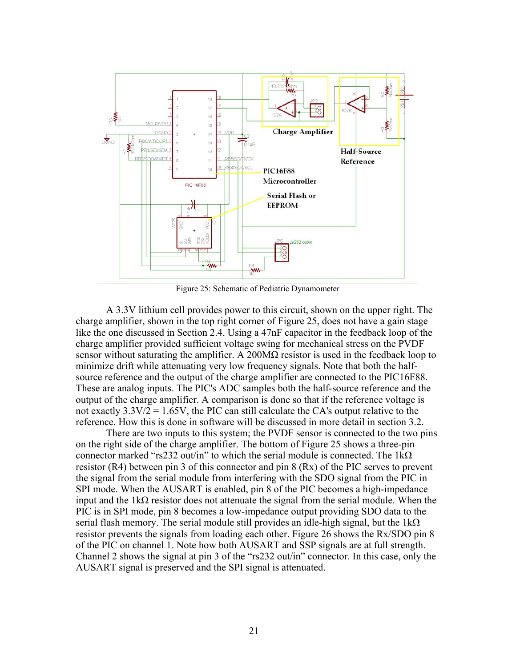

Figure 25: Schematic of Pediatric Dynamometer

A 3.3V lithium cell provides power to this circuit, shown on the upper right. The charge amplifier, shown in the top right corner of Figure 25, does not have a gain stage like the one discussed in Section 2.4. Using a 47nF capacitor in the feedback loop of the charge amplifier provided sufficient voltage swing for mechanical stress on the PVDF sensor without saturating the amplifier. A 200 $M\Omega$  resistor is used in the feedback loop to minimize drift while attenuating very low frequency signals. Note that both the halfsource reference and the output of the charge amplifier are connected to the PIC16F88. These are analog inputs. The PIC's ADC samples both the half-source reference and the output of the charge amplifier. A comparison is done so that if the reference voltage is not exactly  $3.3V/2 = 1.65V$ , the PIC can still calculate the CA's output relative to the reference. How this is done in software will be discussed in more detail in section 3.2.

There are two inputs to this system; the PVDF sensor is connected to the two pins on the right side of the charge amplifier. The bottom of Figure 25 shows a three-pin connector marked "rs232 out/in" to which the serial module is connected. The  $1k\Omega$ resistor  $(R4)$  between pin 3 of this connector and pin 8  $(Rx)$  of the PIC serves to prevent the signal from the serial module from interfering with the SDO signal from the PIC in SPI mode. When the AUSART is enabled, pin 8 of the PIC becomes a high-impedance input and the  $1k\Omega$  resistor does not attenuate the signal from the serial module. When the PIC is in SPI mode, pin 8 becomes a low-impedance output providing SDO data to the serial flash memory. The serial module still provides an idle-high signal, but the  $1k\Omega$ resistor prevents the signals from loading each other. Figure 26 shows the Rx/SDO pin 8 of the PIC on channel 1. Note how both AUSART and SSP signals are at full strength. Channel 2 shows the signal at pin 3 of the "rs232 out/in" connector. In this case, only the AUSART signal is preserved and the SPI signal is attenuated.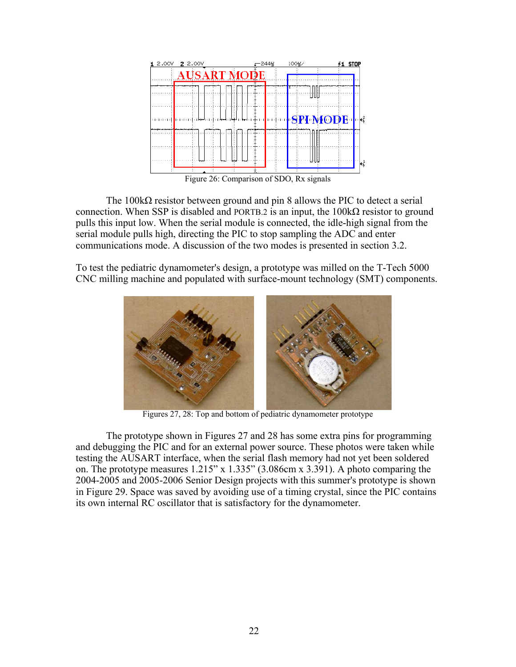

Figure 26: Comparison of SDO, Rx signals

The  $100k\Omega$  resistor between ground and pin 8 allows the PIC to detect a serial connection. When SSP is disabled and PORTB.2 is an input, the  $100<sub>k</sub>Ω$  resistor to ground pulls this input low. When the serial module is connected, the idle-high signal from the serial module pulls high, directing the PIC to stop sampling the ADC and enter communications mode. A discussion of the two modes is presented in section 3.2.

To test the pediatric dynamometer's design, a prototype was milled on the T-Tech 5000 CNC milling machine and populated with surface-mount technology (SMT) components.



Figures 27, 28: Top and bottom of pediatric dynamometer prototype

The prototype shown in Figures 27 and 28 has some extra pins for programming and debugging the PIC and for an external power source. These photos were taken while testing the AUSART interface, when the serial flash memory had not yet been soldered on. The prototype measures 1.215" x 1.335" (3.086cm x 3.391). A photo comparing the 2004-2005 and 2005-2006 Senior Design projects with this summer's prototype is shown in Figure 29. Space was saved by avoiding use of a timing crystal, since the PIC contains its own internal RC oscillator that is satisfactory for the dynamometer.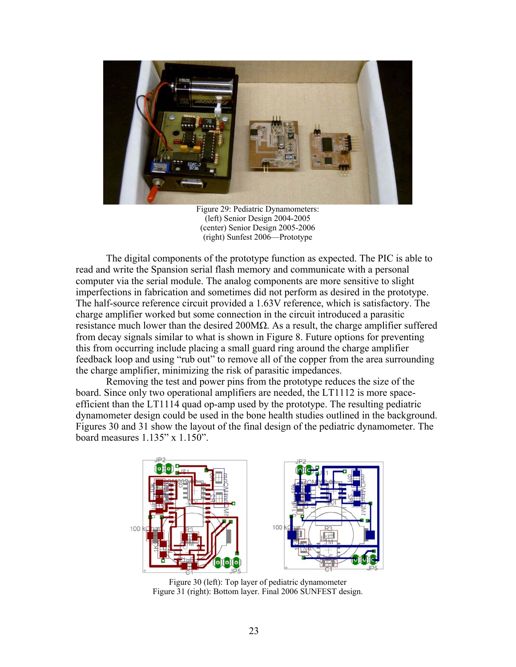

Figure 29: Pediatric Dynamometers: (left) Senior Design 2004-2005 (center) Senior Design 2005-2006 (right) Sunfest 2006—Prototype

The digital components of the prototype function as expected. The PIC is able to read and write the Spansion serial flash memory and communicate with a personal computer via the serial module. The analog components are more sensitive to slight imperfections in fabrication and sometimes did not perform as desired in the prototype. The half-source reference circuit provided a 1.63V reference, which is satisfactory. The charge amplifier worked but some connection in the circuit introduced a parasitic resistance much lower than the desired 200MΩ. As a result, the charge amplifier suffered from decay signals similar to what is shown in Figure 8. Future options for preventing this from occurring include placing a small guard ring around the charge amplifier feedback loop and using "rub out" to remove all of the copper from the area surrounding the charge amplifier, minimizing the risk of parasitic impedances.

Removing the test and power pins from the prototype reduces the size of the board. Since only two operational amplifiers are needed, the LT1112 is more spaceefficient than the LT1114 quad op-amp used by the prototype. The resulting pediatric dynamometer design could be used in the bone health studies outlined in the background. Figures 30 and 31 show the layout of the final design of the pediatric dynamometer. The board measures 1.135" x 1.150".



 Figure 30 (left): Top layer of pediatric dynamometer Figure 31 (right): Bottom layer. Final 2006 SUNFEST design.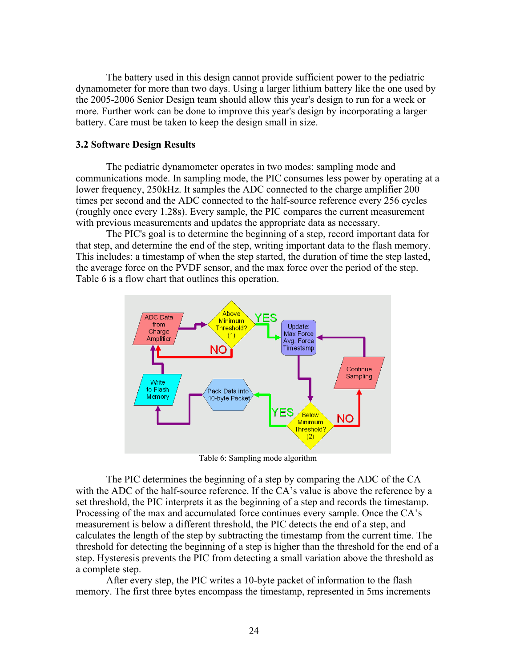<span id="page-23-0"></span>The battery used in this design cannot provide sufficient power to the pediatric dynamometer for more than two days. Using a larger lithium battery like the one used by the 2005-2006 Senior Design team should allow this year's design to run for a week or more. Further work can be done to improve this year's design by incorporating a larger battery. Care must be taken to keep the design small in size.

#### **3.2 Software Design Results**

The pediatric dynamometer operates in two modes: sampling mode and communications mode. In sampling mode, the PIC consumes less power by operating at a lower frequency, 250kHz. It samples the ADC connected to the charge amplifier 200 times per second and the ADC connected to the half-source reference every 256 cycles (roughly once every 1.28s). Every sample, the PIC compares the current measurement with previous measurements and updates the appropriate data as necessary.

The PIC's goal is to determine the beginning of a step, record important data for that step, and determine the end of the step, writing important data to the flash memory. This includes: a timestamp of when the step started, the duration of time the step lasted, the average force on the PVDF sensor, and the max force over the period of the step. Table 6 is a flow chart that outlines this operation.



Table 6: Sampling mode algorithm

The PIC determines the beginning of a step by comparing the ADC of the CA with the ADC of the half-source reference. If the CA's value is above the reference by a set threshold, the PIC interprets it as the beginning of a step and records the timestamp. Processing of the max and accumulated force continues every sample. Once the CA's measurement is below a different threshold, the PIC detects the end of a step, and calculates the length of the step by subtracting the timestamp from the current time. The threshold for detecting the beginning of a step is higher than the threshold for the end of a step. Hysteresis prevents the PIC from detecting a small variation above the threshold as a complete step.

After every step, the PIC writes a 10-byte packet of information to the flash memory. The first three bytes encompass the timestamp, represented in 5ms increments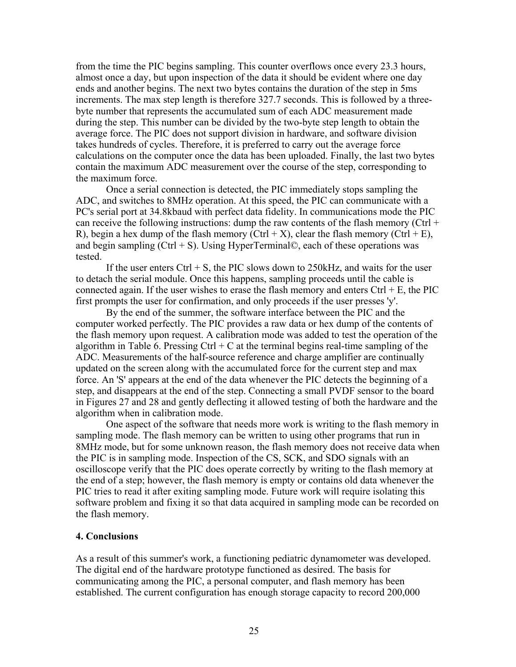<span id="page-24-0"></span>from the time the PIC begins sampling. This counter overflows once every 23.3 hours, almost once a day, but upon inspection of the data it should be evident where one day ends and another begins. The next two bytes contains the duration of the step in 5ms increments. The max step length is therefore 327.7 seconds. This is followed by a threebyte number that represents the accumulated sum of each ADC measurement made during the step. This number can be divided by the two-byte step length to obtain the average force. The PIC does not support division in hardware, and software division takes hundreds of cycles. Therefore, it is preferred to carry out the average force calculations on the computer once the data has been uploaded. Finally, the last two bytes contain the maximum ADC measurement over the course of the step, corresponding to the maximum force.

Once a serial connection is detected, the PIC immediately stops sampling the ADC, and switches to 8MHz operation. At this speed, the PIC can communicate with a PC's serial port at 34.8kbaud with perfect data fidelity. In communications mode the PIC can receive the following instructions: dump the raw contents of the flash memory (Ctrl  $+$ R), begin a hex dump of the flash memory (Ctrl + X), clear the flash memory (Ctrl + E), and begin sampling  $(Ctr1 + S)$ . Using HyperTerminal©, each of these operations was tested.

If the user enters  $Ctrl + S$ , the PIC slows down to 250 kHz, and waits for the user to detach the serial module. Once this happens, sampling proceeds until the cable is connected again. If the user wishes to erase the flash memory and enters  $Ctrl + E$ , the PIC first prompts the user for confirmation, and only proceeds if the user presses 'y'.

By the end of the summer, the software interface between the PIC and the computer worked perfectly. The PIC provides a raw data or hex dump of the contents of the flash memory upon request. A calibration mode was added to test the operation of the algorithm in Table 6. Pressing Ctrl  $+ C$  at the terminal begins real-time sampling of the ADC. Measurements of the half-source reference and charge amplifier are continually updated on the screen along with the accumulated force for the current step and max force. An 'S' appears at the end of the data whenever the PIC detects the beginning of a step, and disappears at the end of the step. Connecting a small PVDF sensor to the board in Figures 27 and 28 and gently deflecting it allowed testing of both the hardware and the algorithm when in calibration mode.

One aspect of the software that needs more work is writing to the flash memory in sampling mode. The flash memory can be written to using other programs that run in 8MHz mode, but for some unknown reason, the flash memory does not receive data when the PIC is in sampling mode. Inspection of the CS, SCK, and SDO signals with an oscilloscope verify that the PIC does operate correctly by writing to the flash memory at the end of a step; however, the flash memory is empty or contains old data whenever the PIC tries to read it after exiting sampling mode. Future work will require isolating this software problem and fixing it so that data acquired in sampling mode can be recorded on the flash memory.

### **4. Conclusions**

As a result of this summer's work, a functioning pediatric dynamometer was developed. The digital end of the hardware prototype functioned as desired. The basis for communicating among the PIC, a personal computer, and flash memory has been established. The current configuration has enough storage capacity to record 200,000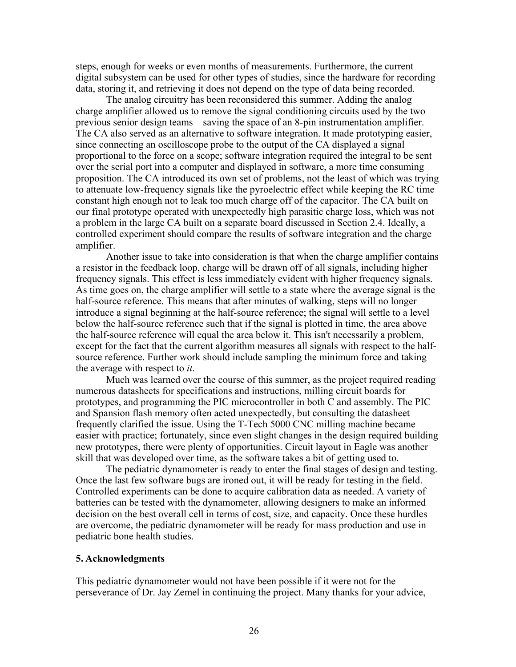<span id="page-25-0"></span>steps, enough for weeks or even months of measurements. Furthermore, the current digital subsystem can be used for other types of studies, since the hardware for recording data, storing it, and retrieving it does not depend on the type of data being recorded.

The analog circuitry has been reconsidered this summer. Adding the analog charge amplifier allowed us to remove the signal conditioning circuits used by the two previous senior design teams—saving the space of an 8-pin instrumentation amplifier. The CA also served as an alternative to software integration. It made prototyping easier, since connecting an oscilloscope probe to the output of the CA displayed a signal proportional to the force on a scope; software integration required the integral to be sent over the serial port into a computer and displayed in software, a more time consuming proposition. The CA introduced its own set of problems, not the least of which was trying to attenuate low-frequency signals like the pyroelectric effect while keeping the RC time constant high enough not to leak too much charge off of the capacitor. The CA built on our final prototype operated with unexpectedly high parasitic charge loss, which was not a problem in the large CA built on a separate board discussed in Section 2.4. Ideally, a controlled experiment should compare the results of software integration and the charge amplifier.

Another issue to take into consideration is that when the charge amplifier contains a resistor in the feedback loop, charge will be drawn off of all signals, including higher frequency signals. This effect is less immediately evident with higher frequency signals. As time goes on, the charge amplifier will settle to a state where the average signal is the half-source reference. This means that after minutes of walking, steps will no longer introduce a signal beginning at the half-source reference; the signal will settle to a level below the half-source reference such that if the signal is plotted in time, the area above the half-source reference will equal the area below it. This isn't necessarily a problem, except for the fact that the current algorithm measures all signals with respect to the halfsource reference. Further work should include sampling the minimum force and taking the average with respect to *it*.

Much was learned over the course of this summer, as the project required reading numerous datasheets for specifications and instructions, milling circuit boards for prototypes, and programming the PIC microcontroller in both C and assembly. The PIC and Spansion flash memory often acted unexpectedly, but consulting the datasheet frequently clarified the issue. Using the T-Tech 5000 CNC milling machine became easier with practice; fortunately, since even slight changes in the design required building new prototypes, there were plenty of opportunities. Circuit layout in Eagle was another skill that was developed over time, as the software takes a bit of getting used to.

The pediatric dynamometer is ready to enter the final stages of design and testing. Once the last few software bugs are ironed out, it will be ready for testing in the field. Controlled experiments can be done to acquire calibration data as needed. A variety of batteries can be tested with the dynamometer, allowing designers to make an informed decision on the best overall cell in terms of cost, size, and capacity. Once these hurdles are overcome, the pediatric dynamometer will be ready for mass production and use in pediatric bone health studies.

#### **5. Acknowledgments**

This pediatric dynamometer would not have been possible if it were not for the perseverance of Dr. Jay Zemel in continuing the project. Many thanks for your advice,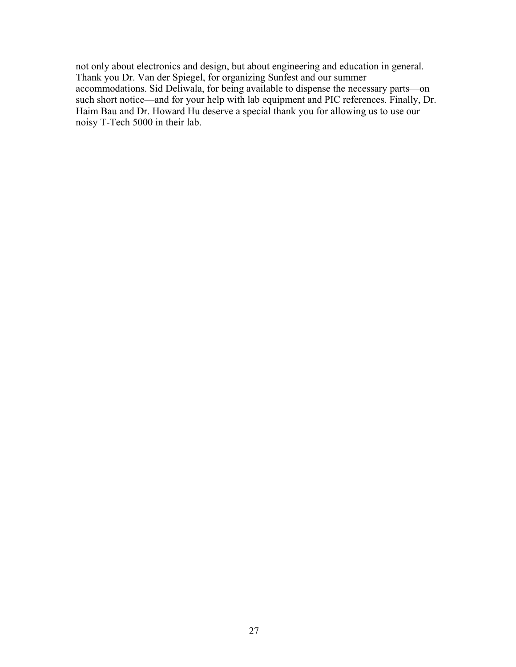not only about electronics and design, but about engineering and education in general. Thank you Dr. Van der Spiegel, for organizing Sunfest and our summer accommodations. Sid Deliwala, for being available to dispense the necessary parts—on such short notice—and for your help with lab equipment and PIC references. Finally, Dr. Haim Bau and Dr. Howard Hu deserve a special thank you for allowing us to use our noisy T-Tech 5000 in their lab.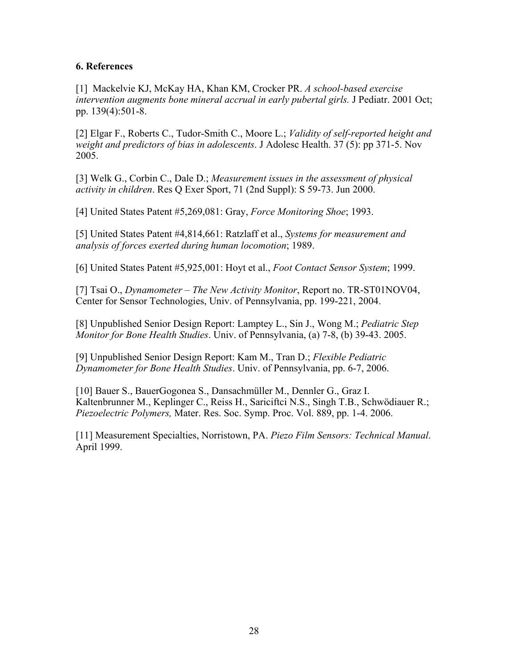# <span id="page-27-0"></span>**6. References**

[1] Mackelvie KJ, McKay HA, Khan KM, Crocker PR. *A school-based exercise intervention augments bone mineral accrual in early pubertal girls.* J Pediatr. 2001 Oct; pp. 139(4):501-8.

[2] Elgar F., Roberts C., Tudor-Smith C., Moore L.; *Validity of self-reported height and weight and predictors of bias in adolescents*. J Adolesc Health. 37 (5): pp 371-5. Nov 2005.

[3] Welk G., Corbin C., Dale D.; *Measurement issues in the assessment of physical activity in children*. Res Q Exer Sport, 71 (2nd Suppl): S 59-73. Jun 2000.

[4] United States Patent #5,269,081: Gray, *Force Monitoring Shoe*; 1993.

[5] United States Patent #4,814,661: Ratzlaff et al., *Systems for measurement and analysis of forces exerted during human locomotion*; 1989.

[6] United States Patent #5,925,001: Hoyt et al., *Foot Contact Sensor System*; 1999.

[7] Tsai O., *Dynamometer – The New Activity Monitor*, Report no. TR-ST01NOV04, Center for Sensor Technologies, Univ. of Pennsylvania, pp. 199-221, 2004.

[8] Unpublished Senior Design Report: Lamptey L., Sin J., Wong M.; *Pediatric Step Monitor for Bone Health Studies*. Univ. of Pennsylvania, (a) 7-8, (b) 39-43. 2005.

[9] Unpublished Senior Design Report: Kam M., Tran D.; *Flexible Pediatric Dynamometer for Bone Health Studies*. Univ. of Pennsylvania, pp. 6-7, 2006.

[10] Bauer S., BauerGogonea S., Dansachmüller M., Dennler G., Graz I. Kaltenbrunner M., Keplinger C., Reiss H., Sariciftci N.S., Singh T.B., Schwödiauer R.; *Piezoelectric Polymers,* Mater. Res. Soc. Symp. Proc. Vol. 889, pp. 1-4. 2006.

[11] Measurement Specialties, Norristown, PA. *Piezo Film Sensors: Technical Manual*. April 1999.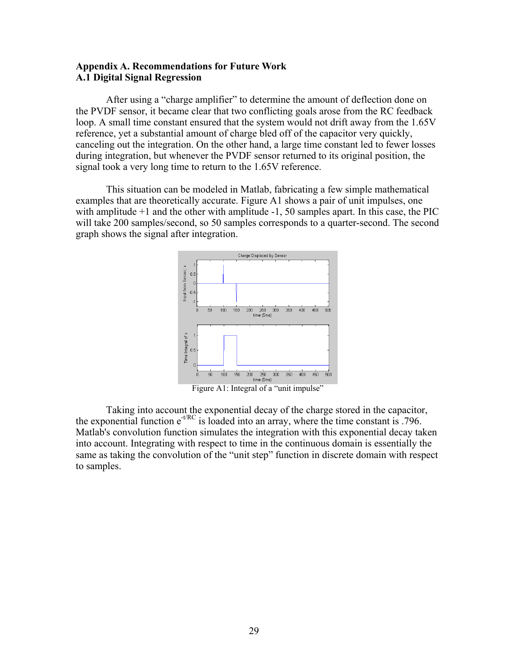### <span id="page-28-0"></span>**Appendix A. Recommendations for Future Work A.1 Digital Signal Regression**

After using a "charge amplifier" to determine the amount of deflection done on the PVDF sensor, it became clear that two conflicting goals arose from the RC feedback loop. A small time constant ensured that the system would not drift away from the 1.65V reference, yet a substantial amount of charge bled off of the capacitor very quickly, canceling out the integration. On the other hand, a large time constant led to fewer losses during integration, but whenever the PVDF sensor returned to its original position, the signal took a very long time to return to the 1.65V reference.

This situation can be modeled in Matlab, fabricating a few simple mathematical examples that are theoretically accurate. Figure A1 shows a pair of unit impulses, one with amplitude  $+1$  and the other with amplitude  $-1$ , 50 samples apart. In this case, the PIC will take 200 samples/second, so 50 samples corresponds to a quarter-second. The second graph shows the signal after integration.



Figure A1: Integral of a "unit impulse"

Taking into account the exponential decay of the charge stored in the capacitor, the exponential function  $e^{-t/RC}$  is loaded into an array, where the time constant is .796. Matlab's convolution function simulates the integration with this exponential decay taken into account. Integrating with respect to time in the continuous domain is essentially the same as taking the convolution of the "unit step" function in discrete domain with respect to samples.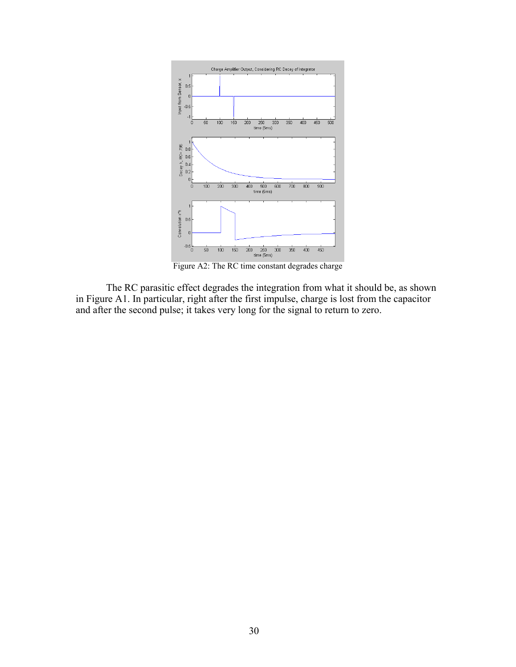

Figure A2: The RC time constant degrades charge

The RC parasitic effect degrades the integration from what it should be, as shown in Figure A1. In particular, right after the first impulse, charge is lost from the capacitor and after the second pulse; it takes very long for the signal to return to zero.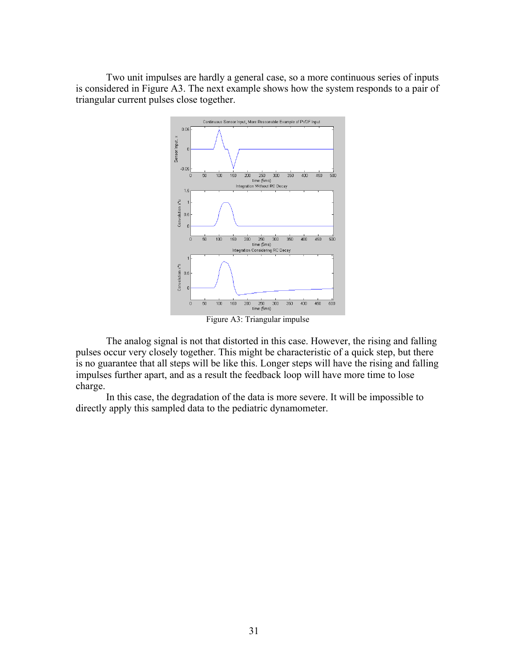Two unit impulses are hardly a general case, so a more continuous series of inputs is considered in Figure A3. The next example shows how the system responds to a pair of triangular current pulses close together.



Figure A3: Triangular impulse

The analog signal is not that distorted in this case. However, the rising and falling pulses occur very closely together. This might be characteristic of a quick step, but there is no guarantee that all steps will be like this. Longer steps will have the rising and falling impulses further apart, and as a result the feedback loop will have more time to lose charge.

In this case, the degradation of the data is more severe. It will be impossible to directly apply this sampled data to the pediatric dynamometer.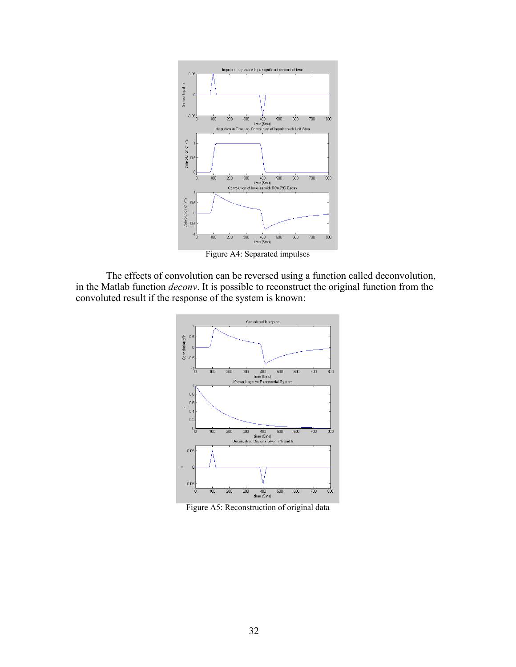

Figure A4: Separated impulses

The effects of convolution can be reversed using a function called deconvolution, in the Matlab function *deconv*. It is possible to reconstruct the original function from the convoluted result if the response of the system is known:



Figure A5: Reconstruction of original data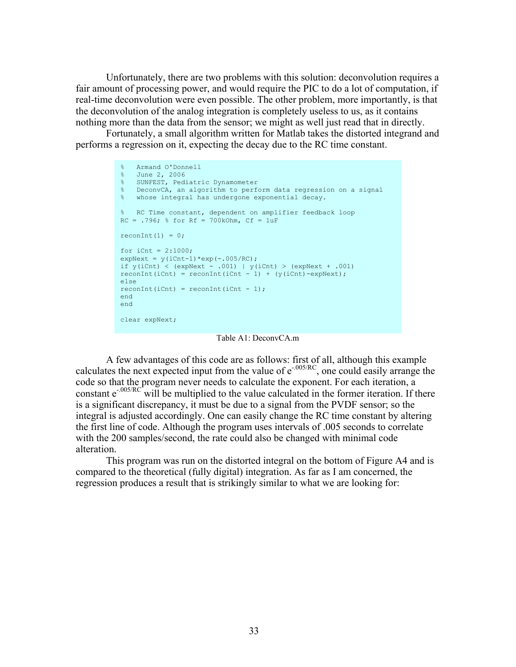Unfortunately, there are two problems with this solution: deconvolution requires a fair amount of processing power, and would require the PIC to do a lot of computation, if real-time deconvolution were even possible. The other problem, more importantly, is that the deconvolution of the analog integration is completely useless to us, as it contains nothing more than the data from the sensor; we might as well just read that in directly.

Fortunately, a small algorithm written for Matlab takes the distorted integrand and performs a regression on it, expecting the decay due to the RC time constant.

```
Armand O'Donnell
    June 2, 2006
% SUNFEST, Pediatric Dynamometer 
% DeconvCA, an algorithm to perform data regression on a signal 
% whose integral has undergone exponential decay. 
% RC Time constant, dependent on amplifier feedback loop 
RC = .796; % for RF = 700kOhm, CF = 1uFreconInt(1) = 0;for iCnt = 2:1000;
expNext = y(iCnt-1)*exp(-.005/RC);
if y(iCnt) < (expNext - .001) | y(iCnt) > (expNext + .001)
reconInt(iCnt) = reconInt(iCnt - 1) + (y(iCnt)-expNext);
else 
reconInt(iCnt) = reconInt(iCnt - 1);end 
end 
clear expNext;
```
#### Table A1: DeconvCA.m

A few advantages of this code are as follows: first of all, although this example calculates the next expected input from the value of  $e^{-.005/RC}$ , one could easily arrange the code so that the program never needs to calculate the exponent. For each iteration, a constant  $e^{-.005/RC}$  will be multiplied to the value calculated in the former iteration. If there is a significant discrepancy, it must be due to a signal from the PVDF sensor; so the integral is adjusted accordingly. One can easily change the RC time constant by altering the first line of code. Although the program uses intervals of .005 seconds to correlate with the 200 samples/second, the rate could also be changed with minimal code alteration.

This program was run on the distorted integral on the bottom of Figure A4 and is compared to the theoretical (fully digital) integration. As far as I am concerned, the regression produces a result that is strikingly similar to what we are looking for: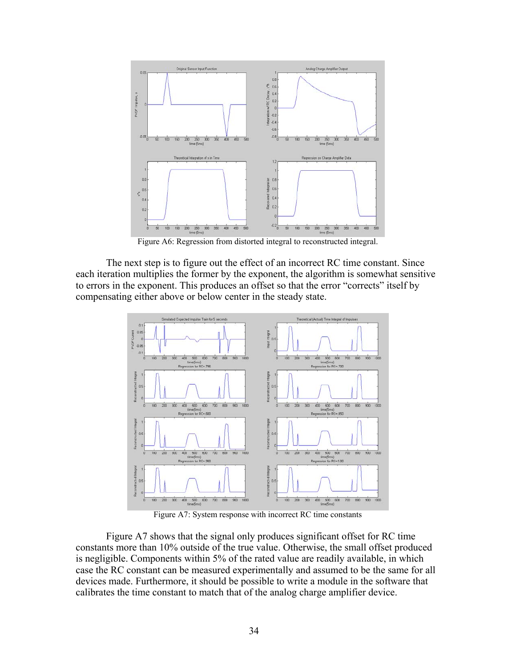

Figure A6: Regression from distorted integral to reconstructed integral.

The next step is to figure out the effect of an incorrect RC time constant. Since each iteration multiplies the former by the exponent, the algorithm is somewhat sensitive to errors in the exponent. This produces an offset so that the error "corrects" itself by compensating either above or below center in the steady state.



Figure A7: System response with incorrect RC time constants

Figure A7 shows that the signal only produces significant offset for RC time constants more than 10% outside of the true value. Otherwise, the small offset produced is negligible. Components within 5% of the rated value are readily available, in which case the RC constant can be measured experimentally and assumed to be the same for all devices made. Furthermore, it should be possible to write a module in the software that calibrates the time constant to match that of the analog charge amplifier device.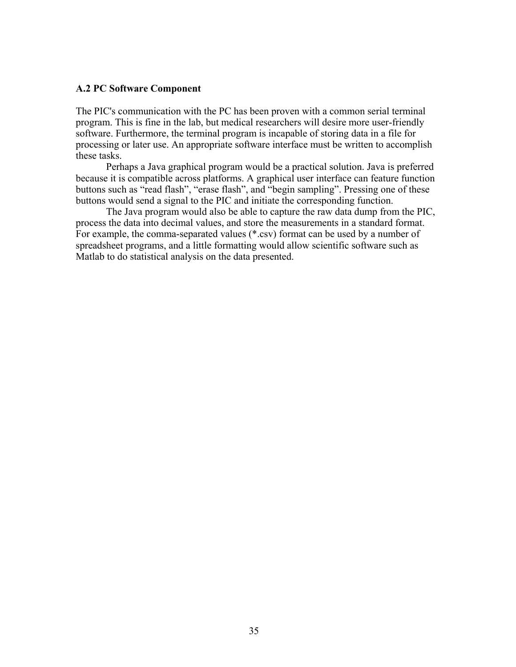#### <span id="page-34-0"></span>**A.2 PC Software Component**

The PIC's communication with the PC has been proven with a common serial terminal program. This is fine in the lab, but medical researchers will desire more user-friendly software. Furthermore, the terminal program is incapable of storing data in a file for processing or later use. An appropriate software interface must be written to accomplish these tasks.

Perhaps a Java graphical program would be a practical solution. Java is preferred because it is compatible across platforms. A graphical user interface can feature function buttons such as "read flash", "erase flash", and "begin sampling". Pressing one of these buttons would send a signal to the PIC and initiate the corresponding function.

The Java program would also be able to capture the raw data dump from the PIC, process the data into decimal values, and store the measurements in a standard format. For example, the comma-separated values (\*.csv) format can be used by a number of spreadsheet programs, and a little formatting would allow scientific software such as Matlab to do statistical analysis on the data presented.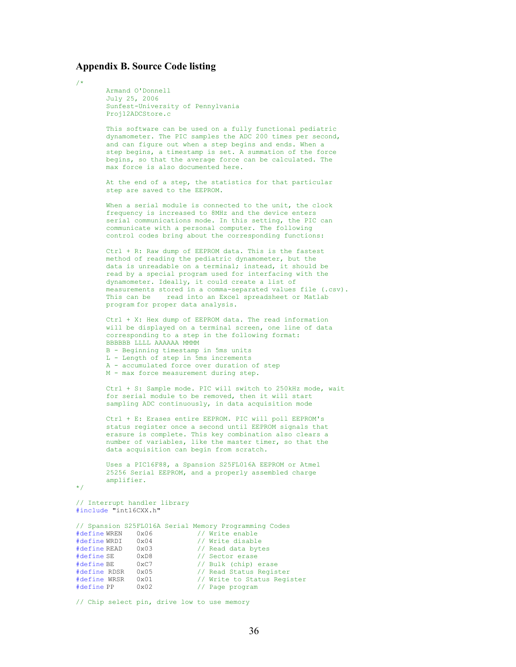#### <span id="page-35-0"></span>**Appendix B. Source Code listing**

/\*

 Armand O'Donnell July 25, 2006 Sunfest-University of Pennylvania Proj12ADCStore.c

This software can be used on a fully functional pediatric dynamometer. The PIC samples the ADC 200 times per second, and can figure out when a step begins and ends. When a step begins, a timestamp is set. A summation of the force begins, so that the average force can be calculated. The max force is also documented here.

At the end of a step, the statistics for that particular step are saved to the EEPROM.

When a serial module is connected to the unit, the clock frequency is increased to 8MHz and the device enters serial communications mode. In this setting, the PIC can communicate with a personal computer. The following control codes bring about the corresponding functions:

Ctrl + R: Raw dump of EEPROM data. This is the fastest method of reading the pediatric dynamometer, but the data is unreadable on a terminal; instead, it should be read by a special program used for interfacing with the dynamometer. Ideally, it could create a list of measurements stored in a comma-separated values file (.csv). This can be read into an Excel spreadsheet or Matlab program for proper data analysis.

Ctrl + X: Hex dump of EEPROM data. The read information will be displayed on a terminal screen, one line of data corresponding to a step in the following format: BBBBBB LLLL AAAAAA MMMM B - Beginning timestamp in 5ms units L - Length of step in 5ms increments A - accumulated force over duration of step M - max force measurement during step.

Ctrl + S: Sample mode. PIC will switch to 250kHz mode, wait for serial module to be removed, then it will start sampling ADC continuously, in data acquisition mode

Ctrl + E: Erases entire EEPROM. PIC will poll EEPROM's status register once a second until EEPROM signals that erasure is complete. This key combination also clears a number of variables, like the master timer, so that the data acquisition can begin from scratch.

Uses a PIC16F88, a Spansion S25FL016A EEPROM or Atmel 25256 Serial EEPROM, and a properly assembled charge amplifier.

\*/

// Interrupt handler library #include "int16CXX.h"

|              |      | // Spansion S25FL016A Serial Memory Programming Codes |
|--------------|------|-------------------------------------------------------|
| #define WREN | 0x06 | // Write enable                                       |
| #define WRDI | 0x04 | // Write disable                                      |
| #define READ | 0x03 | // Read data bytes                                    |
| #define SE   | 0xD8 | // Sector erase                                       |
| #define BE   | 0xC7 | // Bulk (chip) erase                                  |
| #define RDSR | 0x05 | // Read Status Register                               |
| #define WRSR | 0x01 | // Write to Status Register                           |
| #define PP   | 0x02 | // Page program                                       |

// Chip select pin, drive low to use memory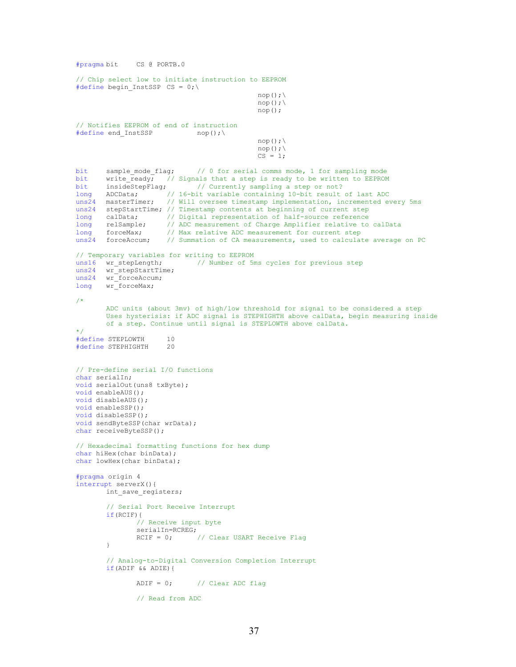```
#pragma bit CS @ PORTB.0 
// Chip select low to initiate instruction to EEPROM 
#define begin InstSSP CS = 0; \backslashnop();
                                                      nop();
 nop(); 
// Notifies EEPROM of end of instruction 
#define end InstSSP nop();\
                                                     \text{nop}();
                                                      nop();
                                                      CS = 1;
bit sample_mode_flag; // 0 for serial comms mode, 1 for sampling mode<br>bit write ready; // Signals that a step is ready to be written to EEPROM
bit write_ready; \frac{1}{2} // Signals that a step is ready to be written to EEPROM bit insideStepFlag; // Currently sampling a step or not?
bit insideStepFlag; // Currently sampling a step or not?<br>long ADCData: // 16-bit variable containing 10-bit result
                         long ADCDATA; longthing a book of mot.<br>(// 16-bit variable containing 10-bit result of last ADC
uns24 masterTimer; // Will oversee timestamp implementation, incremented every 5ms 
uns24 stepStartTime; // Timestamp contents at beginning of current step
long calData; // Digital representation of half-source reference
long relSample; // ADC measurement of Charge Amplifier relative to calData<br>long forceMax; // Max relative ADC measurement for current step
long forceMax; // Max relative ADC measurement for current step<br>uns24 forceAccum; // Summation of CA measurements, used to calculat
                          // Summation of CA measurements, used to calculate average on PC
// Temporary variables for writing to EEPROM 
                                  // Number of 5ms cycles for previous step
uns16 wr_stepLength;<br>uns24 wr_stepStartTime;
uns24 wr_forceAccum;
long wr forceMax;
/* 
         ADC units (about 3mv) of high/low threshold for signal to be considered a step 
         Uses hysterisis: if ADC signal is STEPHIGHTH above calData, begin measuring inside 
         of a step. Continue until signal is STEPLOWTH above calData. 
*/ 
#define STEPLOWTH 10<br>#define STEPHIGHTH 20
#define STEPHIGHTH 20 
// Pre-define serial I/O functions 
char serialIn; 
void serialOut(uns8 txByte);
void enableAUS();
void disableAUS();
void enableSSP(); 
void disableSSP(); 
void sendByteSSP(char wrData);
char receiveByteSSP();
// Hexadecimal formatting functions for hex dump 
char hiHex(char binData);
char lowHex(char binData);
#pragma origin 4 
interrupt serverX(){ 
         int save registers;
         // Serial Port Receive Interrupt 
         if(RCIF){ 
                  // Receive input byte 
                  \text{serialIn=RCREG};<br>\text{RCTF} = 0:\frac{1}{2} // Clear USART Receive Flag
 } 
         // Analog-to-Digital Conversion Completion Interrupt 
         if(ADIF && ADIE){ 
                  ADIF = 0; // Clear ADC flag
                  // Read from ADC
```

```
37
```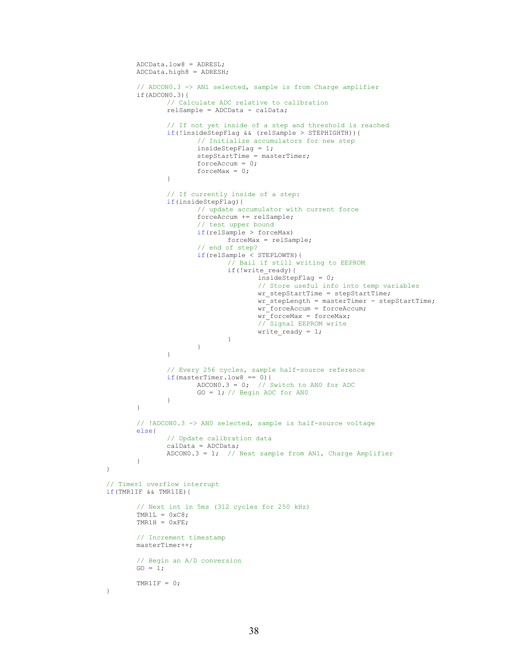```
 ADCData.low8 = ADRESL; 
            ADCData.hiqh8 = ADRESH;// ADCON0.3 -> AN1 selected, sample is from Charge amplifier 
             if(ADCON0.3){ 
                   // Calculate ADC relative to calibration 
                   relSample = ADCData - calData; 
                   // If not yet inside of a step and threshold is reached 
                   if(!insideStepFlag && (relSample > STEPHIGHTH)){ 
                         // Initialize accumulators for new step 
                          insideStepFlag = 1; 
                         stepStartTime = masterTimer;
                         forceAccum = 0;forceMax = 0; }
                   // If currently inside of a step: 
                    if(insideStepFlag){ 
                         // update accumulator with current force 
                          forceAccum += relSample; 
                          // test upper bound 
                         if(relSample > forceMax) 
                                forceMax = relSample; 
                          // end of step? 
                         if(relSample < STEPLOWTH){ 
                                // Bail if still writing to EEPROM 
                                if(!write_ready){
                                       insideStepFlag = 0; 
                                       // Store useful info into temp variables 
                                      wr stepStartTime = stepStartTime;
                                       wr_stepLength = masterTimer - stepStartTime; 
                                       wr_forceAccum = forceAccum; 
wr forceMax = forceMax;
 // Signal EEPROM write 
                              \text{write\_ready} = 1; }
 }
 }
                   // Every 256 cycles, sample half-source reference 
 if(masterTimer.low8 == 0){ 
ADCON0.3 = 0; // Switch to ANO for ADC
                   GO = 1; // Begin ADC for ANO
 }
 }
            // !ADCON0.3 -> AN0 selected, sample is half-source voltage 
             else{ 
                    // Update calibration data 
                   calData = ADCData; 
                  ADCON0.3 = 1; // Next sample from AN1, Charge Amplifier
 }
 } 
      // Timer1 overflow interrupt 
      if(TMR1IF && TMR1IE){ 
            // Next int in 5ms (312 cycles for 250 kHz) 
            TMR1L = 0 \times C8;
            TMR1H = 0xFE; // Increment timestamp 
             masterTimer++; 
            // Begin an A/D conversion 
            GO = 1;TMR1IF = 0; }
```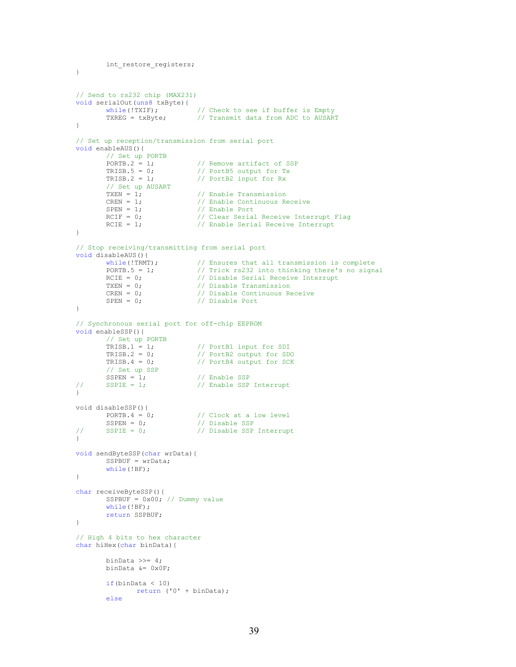```
int restore registers;
} 
// Send to rs232 chip (MAX231) 
void serialOut(uns8 txByte){<br>while(!TXIF);
          while(!TXIF); \frac{1}{2} // Check to see if buffer is Empty TXREG = txByte; \frac{1}{2} Transmit data from ADC to AUSAR
                                         // Transmit data from ADC to AUSART
} 
// Set up reception/transmission from serial port 
void enableAUS(){ 
          // Set up PORTB<br>PORTB.2 = 1;
          PORTB. 2 = 1; \frac{1}{\sqrt{2}} = 1; \frac{1}{\sqrt{2}} = 0; \frac{1}{\sqrt{2}} = 0; \frac{1}{\sqrt{2}} = 0; \frac{1}{\sqrt{2}} = 0; \frac{1}{\sqrt{2}} = 0; \frac{1}{\sqrt{2}} = 0; \frac{1}{\sqrt{2}} = 0; \frac{1}{\sqrt{2}} = 0; \frac{1}{\sqrt{2}} = 0; \frac{1}{\sqrt{2}} = 0; \frac{1}{\sqrt{2}} = 0; \TRISB.5 = 0; \frac{1}{2} PortB5 output for Tx<br>TRISB.2 = 1; \frac{1}{2} PortB2 input for Rx
                                         1/ PortB2 input for Rx
          // Set up AUSART<br>TXEN = 1;
          TXEN = 1; // Enable Transmission<br>CREN = 1; // Enable Continuous Re
          CREN = 1; \frac{1}{\sqrt{2}} // Enable Continuous Receive<br>SPEN = 1; \frac{1}{\sqrt{2}} // Enable Port
           SPEN = 1; // Enable Port
           RCIF = 0; \frac{1}{2} // Clear Serial Receive Interrupt Flag
          RCIE = 1; \frac{1}{\sqrt{2}} // Enable Serial Receive Interrupt
} 
// Stop receiving/transmitting from serial port 
void disableAUS(){<br>while(!TRMT);
           while(!TRMT); \frac{1}{2} // Ensures that all transmission is complete
           PORTB.5 = 1; // Trick rs232 into thinking there's no signal 
          RCIE = 0; \frac{1}{2} // Disable Serial Receive Interrupt<br>TXEN = 0; \frac{1}{2} // Disable Transmission
          TXEN = 0; \frac{1}{2} // Disable Transmission<br>CREN = 0; \frac{1}{2} // Disable Continuous Re
           CREN = 0; // Disable Continuous Receive 
           SPEN = 0; // Disable Port
} 
// Synchronous serial port for off-chip EEPROM 
void enableSSP(){ 
          // Set up PORTB<br>TRISB.1 = 1;
          TRISB.1 = 1; \binom{1}{1} PortB1 input for SDI<br>TRISB.2 = 0; \binom{1}{1} PortB2 output for SDI
          TRISB.2 = 0; \frac{1}{2} PortB2 output for SDO<br>TRISB.4 = 0; \frac{1}{2} PortB4 output for SCK
                                         // PortB4 output for SCK
          // Set up SSP 
          SSPEN = 1; // Enable SSP<br>SSPIE = 1; // Enable SSP
// SSPIE = 1; // Enable SSP Interrupt
} 
void disableSSP(){<br>PORTB.4 = 0;
          PORTB.4 = 0; <br>
SSPEN = 0; <br>
SSPIE = 0; <br>
// Disable SSP Interrup<br>
// Disable SSP Interrup
           SSPEN = 0; // Disable SSP
// SSPIE = 0; // Disable SSP Interrupt 
} 
void sendByteSSP(char wrData){ 
          SSPBUF = wrData;while(!BF); 
} 
char receiveByteSSP(){ 
          SSPBUF = 0x00; // Dummy value
          while(!BF); 
          return SSPBUF; 
} 
// High 4 bits to hex character 
char hiHex(char binData){
          binData >>= 4;binData &= 0x0F; 
          if(binData \leq 10)
                    return ('0' + binData); 
          else
```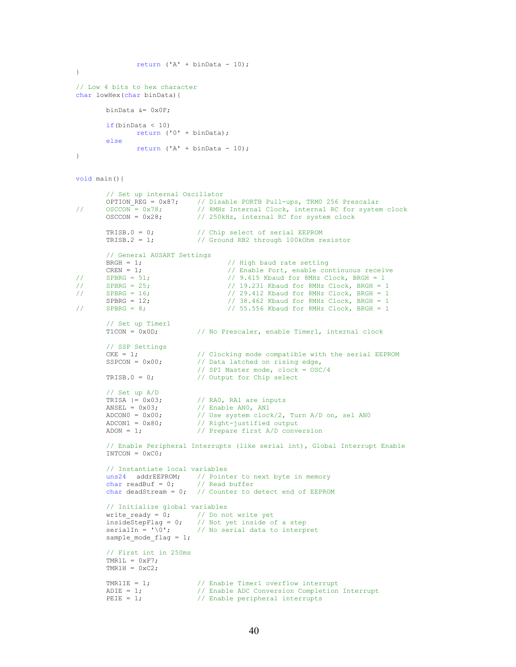```
} 
// Low 4 bits to hex character 
char lowHex(char binData){
         binData &= 0x0F; 
         if(binData \leq 10)
                 return ('0' + binData); 
         else 
                  return ('A' + binData - 10);} 
void main(){ 
         // Set up internal Oscillator 
        OPTION_REG = 0x87; // Disable PORTB Pull-ups, TRM0 256 Prescalar<br>
OSCCON = 0x78; // 8MHz Internal Clock, internal RC for system<br>
OSCCON = 0x28; // 250kHz, internal RC for system clock
// OSCCON = 0x78; // 8MHz Internal Clock, internal RC for system clock 
         OSCCON = 0x28; // 250kHz, internal RC for system clock
         TRISB.0 = 0; // Chip select of serial EEPROM 
         TRISB.2 = 1; // Ground RB2 through 100kOhm resistor 
         // General AUSART Settings<br>BRGH = 1:
        BRGH = 1; // High baud rate setting<br>
CREN = 1; // Enable Port, enable com
        CREN = 1; \frac{1}{2} // Enable Port, enable continuous receive SPBRG = 51; \frac{1}{2} // 9.615 Kbaud for 8MHz Clock, BRGH = 1
// SPBRG = 51; // 9.615 Kbaud for 8MHz Clock, BRGH = 1 
// SPBRG = 25; // 19.231 Kbaud for 8MHz Clock, BRGH = 1 
        SPRRG = 16;<br>SPRFG = 12;<br>SPRFG = 12;<br>SPRFG = 12;<br>SPRFG = 12;
        SPBFG = 12; \frac{1}{55.556} Kbaud for 8MHz Clock, BRGH = 1<br>\frac{1}{55.556} Kbaud for 8MHz Clock, BRGH = 1
\frac{1}{2} SPBRG = 8; \frac{1}{2} \frac{1}{5} 55.556 Kbaud for 8MHz Clock, BRGH = 1
         // Set up Timer1<br>T1CON = 0x0D;
                                    // No Prescaler, enable Timer1, internal clock
         // SSP Settings<br>CKE = 1:
         CKE = 1; \frac{1}{2} // Clocking mode compatible with the serial EEPROM SSPCON = 0x00; \frac{1}{2} Data latched on rising edge,
                                    // Data latched on rising edge,
                                     // SPI Master mode, clock = OSC/4 
         TRISB.0 = 0; // Output for Chip select
         // Set up A/D<br>TRISA = 0 \times 03;
         TRISA |= 0x03; // RA0, RA1 are inputs<br>ANSEL = 0x03; // E000 AN1
         ANSEL = 0x03; // Enable AN0, AN1<br>ADCON0 = 0x00; // Use system clocl
         ADCON0 = 0x00; // Use system clock/2, Turn A/D on, sel AN0<br>ADCON1 = 0x80; // Right-justified output
         ADCON1 = 0x80; // Right-justified output 
         ADON = 1; \frac{1}{\sqrt{2}} Prepare first A/D conversion
         // Enable Peripheral Interrupts (like serial int), Global Interrupt Enable 
         INTCON = 0xCO;// Instantiate local variables 
         uns24 addrEEPROM; // Pointer to next byte in memory 
         char readBuf = 0; // Read buffer
         char deadStream = 0; // Counter to detect end of EEPROM
         // Initialize global variables 
         write_ready = \overline{0}; // Do not write yet<br>insideStepFlag = 0; // Not yet inside of
         insideStepFlag = 0; // Not yet inside of a step<br>serialIn = '\0'; // No serial data to interp
                                    \frac{1}{\sqrt{2}} No serial data to interpret
         sample mode flag = 1;// First int in 250ms 
         \texttt{TMR1L} = 0 \texttt{xF7};
         TMR1H = 0xC2;TMR1IE = 1; \frac{1}{\sqrt{2}} Enable Timer1 overflow interrupt
         ADIE = 1; \frac{1}{\sqrt{2}} Enable ADC Conversion Completion Interrupt PEIE = 1;
                                    // Enable peripheral interrupts
```
return  $('A' + binData - 10);$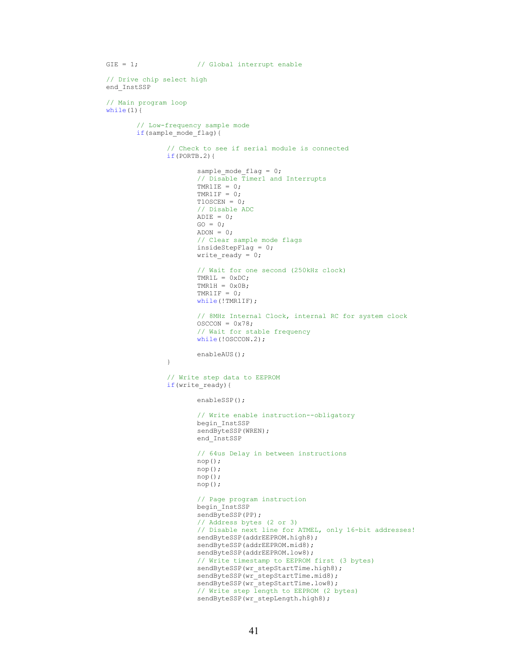```
GIE = 1; // Global interrupt enable
       // Drive chip select high 
        end_InstSSP 
       // Main program loop 
       while(1) {
               // Low-frequency sample mode 
                if(sample_mode_flag){ 
                       // Check to see if serial module is connected 
                        if(PORTB.2){ 
                              sample mode flag = 0; // Disable Timer1 and Interrupts 
                               TMR1IE = 0; 
                              TMR1IF = 0;
                              T1OSCEN = 0; // Disable ADC 
                              ADIE = 0;
                              GO = 0;ADON = 0; // Clear sample mode flags 
                              insideStepFlag = 0;
                              write ready = 0;// Wait for one second (250kHz clock) 
                               TMR1L = 0xDC; 
                              TMR1H = 0x0B; TMR1IF = 0; 
                              while(!TMR1IF);
                              // 8MHz Internal Clock, internal RC for system clock 
                               OSCCON = 0x78; 
                               // Wait for stable frequency 
                              while(!OSCCON.2);
                       enableAUS();
 }
                       // Write step data to EEPROM 
                      if(write_ready){
                               enableSSP(); 
                               // Write enable instruction--obligatory 
                               begin_InstSSP 
                              sendByteSSP(WREN);
                               end_InstSSP 
                              // 64us Delay in between instructions 
                               nop(); 
                               nop(); 
                               nop(); 
                               nop(); 
                               // Page program instruction 
                               begin_InstSSP 
                              sendByteSSP(PP);
                              // Address bytes (2 or 3) 
                              // Disable next line for ATMEL, only 16-bit addresses! 
                              sendByteSSP(addrEEPROM.high8);
                              sendByteSSP(addrEEPROM.mid8);
                               sendByteSSP(addrEEPROM.low8); 
                              // Write timestamp to EEPROM first (3 bytes) 
                               sendByteSSP(wr_stepStartTime.high8); 
                              sendByteSSP(wr stepStartTime.mid8);
                              sendByteSSP(wr_stepStartTime.low8);
                              // Write step length to EEPROM (2 bytes) 
                              sendByteSSP(wr_stepLength.high8);
```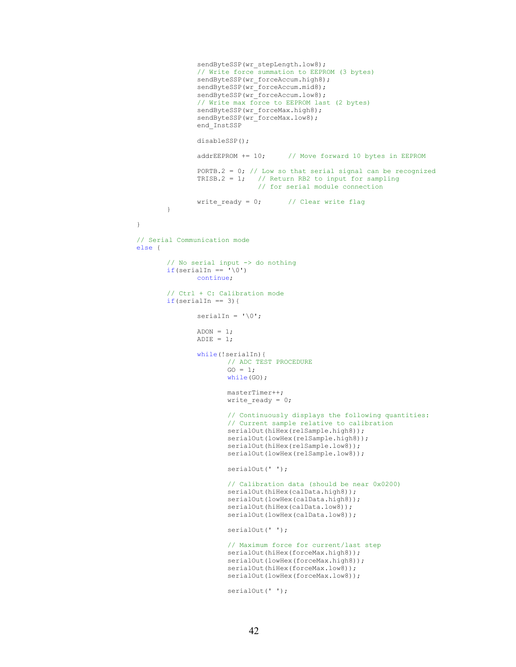```
sendByteSSP(wr_stepLength.low8);
                             // Write force summation to EEPROM (3 bytes) 
sendByteSSP(wr_forceAccum.high8);
                            sendByteSSP(wr forceAccum.mid8);
                             sendByteSSP(wr forceAccum.low8);
                             // Write max force to EEPROM last (2 bytes) 
                            sendByteSSP(wr_forceMax.high8);
                             sendByteSSP(wr forceMax.low8);
                            end_InstSSP
                             disableSSP(); 
                             addrEEPROM += 10; // Move forward 10 bytes in EEPROM
                             PORTB.2 = 0; // Low so that serial signal can be recognized
                            TRISB.2 = 1; // Return RB2 to input for sampling 
                                            // for serial module connection 
                            write ready = 0; // Clear write flag
 }
 }
              // Serial Communication mode 
               else { 
                     // No serial input -> do nothing 
                     if(serialIn == '\\0') continue; 
                     // Ctrl + C: Calibration mode 
                     if(serialIn == 3){
                            serialIn = '\0';ADON = 1;ADIE = 1;while(!serialIn){
                                     // ADC TEST PROCEDURE 
                                    GO = 1;while(GO);
                                     masterTimer++; 
                                    write ready = 0; // Continuously displays the following quantities: 
                                    // Current sample relative to calibration 
                                    serialOut(hiHex(relSample.high8));
                                    serialOut(lowHex(relSample.high8));
                                    serialOut(hiHex(relSample.low8));
                                    serialOut(lowHex(relSample.low8));
                                    serialOut(' ');
                                    // Calibration data (should be near 0x0200) 
                                    serialOut(hiHex(calData.high8));
                                    serialOut(lowHex(calData.high8));
                                    serialOut(hiHex(calData.low8));
                                    serialOut(lowHex(calData.low8));
                                    serialOut(' ');
                                     // Maximum force for current/last step 
                                    serialOut(hiHex(forceMax.high8));
                                    serialOut(lowHex(forceMax.high8));
                                    serialOut(hiHex(forceMax.low8));
                                    serialOut(lowHex(forceMax.low8));
                                    serialOut(' ');
```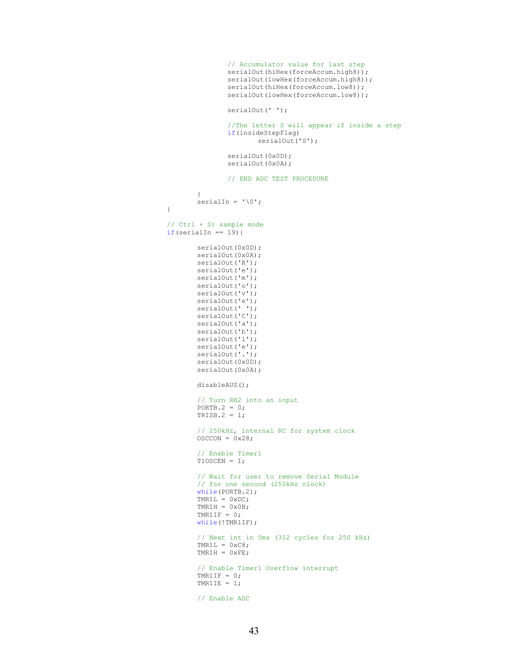```
 // Accumulator value for last step 
                                    serialOut(hiHex(forceAccum.high8));
                                    serialOut(lowHex(forceAccum.high8));
                                    serialOut(hiHex(forceAccum.low8));
                                    serialOut(lowHex(forceAccum.low8));
                                    serialOut(' ');
                                    //The letter S will appear if inside a step 
                                     if(insideStepFlag) 
                                           serialOut<sup>('S')</sup>;
                                    serialOut(0x0D);
                                    serialOut(0x0A);
                                     // END ADC TEST PROCEDURE 
 }
                     serialIn = '\0'; }
                     // Ctrl + S: sample mode 
                     if(serialIn == 19){
                            serialOut(0x0D);
                            serialOut(0x0A);
                             serialOut('R'); 
                            serialOut('e');
                             serialOut('m'); 
                             serialOut('o'); 
                             serialOut('v'); 
                             serialOut('e'); 
                            serialOut(' ');
                            serialOut('C');
                            serialOut('a');
                             serialOut('b'); 
                            serialOut('l');
                             serialOut('e'); 
                             serialOut('.'); 
                            serialOut(0x0D);
                            serialOut(0x0A);
                             disableAUS(); 
                             // Turn RB2 into an input 
                            PORTB.2 = 0;TRISB.2 = 1;// 250kHz, internal RC for system clock 
                            OSCCON = <math>0x28</math>; // Enable Timer1 
                             T1OSCEN = 1; 
                             // Wait for user to remove Serial Module 
                            // for one second (250kHz clock) 
                             while(PORTB.2); 
\texttt{TMR1L} = 0 \texttt{xDC};TMR1H = 0x0B;\texttt{TMRIIF} = 0; while(!TMR1IF); 
                             // Next int in 5ms (312 cycles for 250 kHz) 
                            TMR1L = 0 \times C8;
                             TMR1H = 0xFE; 
                              // Enable Timer1 Overflow interrupt 
                            TMR1IF = 0;TMR1IE = 1;
                             // Enable ADC
```

```
43
```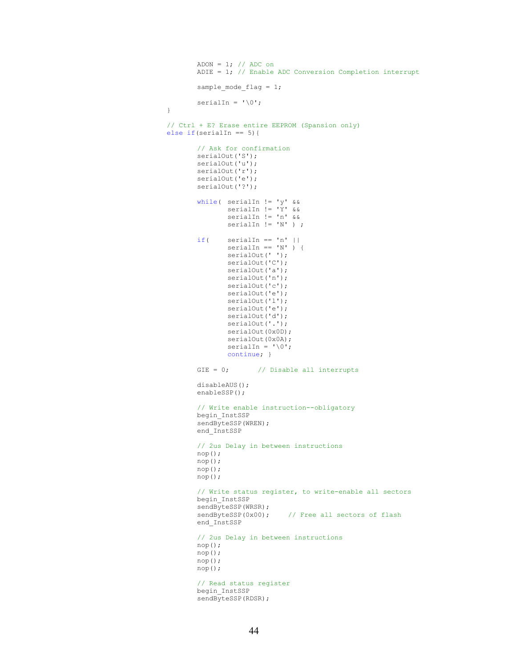```
ADON = 1; // ADC on
                               ADIE = 1; // Enable ADC Conversion Completion interrupt
                               sample mode flag = 1;serialIn = '\0'; }
                       // Ctrl + E? Erase entire EEPROM (Spansion only) 
                        else if(serialIn == 5){ 
                                // Ask for confirmation 
                                serialOut('S'); 
                               serialOut('u');
                                serialOut('r'); 
                                serialOut('e'); 
                               serialOut('?');
                                while( serialIn != 'y' && 
                                        serialIn != 'Y' && 
                                        serialIn != 'n' && 
                                       serialIn != 'N' ) ;
                               if( serialIn == 'n' ||
                                       \text{serial} = \text{``N''} ) {
                                       serialOut(' ');
                                        serialOut('C'); 
                                       serialOut('a');
                                        serialOut('n'); 
                                        serialOut('c'); 
                                        serialOut('e'); 
                                       serialOut('l');
                                        serialOut('e'); 
                                       serialOut('d');
                                       serialOut('.');
                                       serialOut(0x0D);
                                       serialOut(0x0A);
                                       serialIn = '\0';
                                        continue; } 
                               GIE = 0; // Disable all interrupts
                                disableAUS(); 
                                enableSSP(); 
                                // Write enable instruction--obligatory 
                                begin_InstSSP 
                               sendByteSSP(WREN);
                               end_InstSSP
                               // 2us Delay in between instructions 
                                nop(); 
                                nop(); 
                                nop(); 
                                nop(); 
                               // Write status register, to write-enable all sectors 
                                begin_InstSSP 
                               sendByteSSP(WRSR);<br>sendByteSSP(0x00);
                                                      // Free all sectors of flash
                                end_InstSSP 
                               // 2us Delay in between instructions 
                                nop(); 
                                nop(); 
                                nop(); 
                                nop(); 
                                // Read status register 
                                begin_InstSSP 
                               sendByteSSP(RDSR);
```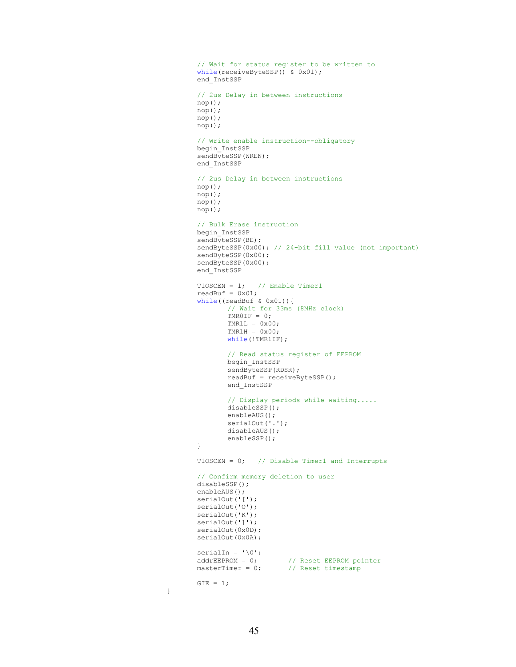```
// Wait for status register to be written to 
                                   while(receiveByteSSP() & 0x01);
                                    end_InstSSP 
                                   // 2us Delay in between instructions 
                                    nop(); 
                                    nop(); 
                                    nop(); 
                                    nop(); 
                                    // Write enable instruction--obligatory 
                                    begin_InstSSP 
                                   sendByteSSP(WREN);
                                   end InstSSP
                                   // 2us Delay in between instructions 
                                    nop(); 
                                    nop(); 
                                    nop(); 
                                    nop(); 
                                    // Bulk Erase instruction 
                                    begin_InstSSP 
                                   sendByteSSP(BE);
                                    sendByteSSP(0x00); // 24-bit fill value (not important) 
                                    sendByteSSP(0x00); 
                                   sendByteSSP(0x00);
                                   end InstSSP
                                   T1OSCEN = 1; // Enable Timer1
                                   readBuf = 0x01;
                                    while((readBuf & 0x01)){ 
                                             // Wait for 33ms (8MHz clock) 
\texttt{TMROIF} = 0;\texttt{TMR1L} = 0 \times 00;TMR1H = 0x00;while(!TMR1IF);
                                             // Read status register of EEPROM 
                                             begin_InstSSP 
                                            sendByteSSP(RDSR);
                                             readBuf = receiveByteSSP(); 
                                             end_InstSSP 
                                             // Display periods while waiting..... 
                                             disableSSP(); 
                                            enableAUS();
                                            serialOut('.');
                                             disableAUS(); 
                                   enableSSP();<br>}
 }
                                   T1OSCEN = 0; // Disable Timer1 and Interrupts 
                                    // Confirm memory deletion to user 
                                    disableSSP(); 
                                    enableAUS(); 
                                   serialOut('[');
                                   serialOut('O');
                                   serialOut('K');
                                   serialOut(']');
                                   serialOut(0x0D);
                                   serialOut(0x0A);
                                   serialIn = '\0;<br>addrEEPROM = 0;
                                   \begin{array}{lcl} \texttt{add} \texttt{r}\texttt{E}\texttt{P}\texttt{ROM} & = & 0 \texttt{;} & \texttt{ //} \texttt{Reset} \texttt{E}\texttt{E}\texttt{P}\texttt{ROM} & \texttt{ pointer} \\ \texttt{masterTimer} & = & 0 \texttt{;} & \texttt{ //} \texttt{Reset} \texttt{timestamp} \end{array}// Reset timestamp
                                   GIE = 1;
```
45

}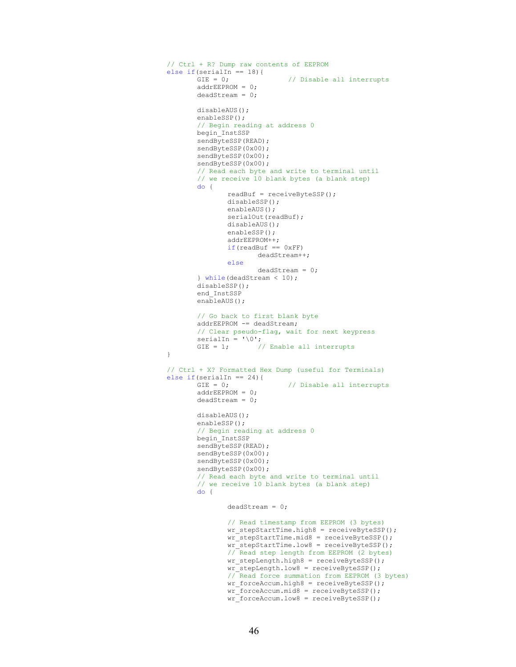```
// Ctrl + R? Dump raw contents of EEPROM 
                    else if(serialIn == 18){<br>GIE = 0;
                                               // Disable all interrupts
                           addrEEPROM = 0;
                            deadStream = 0; 
                            disableAUS(); 
                            enableSSP(); 
                           // Begin reading at address 0 
                            begin_InstSSP 
                           sendByteSSP(READ);
                            sendByteSSP(0x00); 
                            sendByteSSP(0x00); 
                            sendByteSSP(0x00); 
                           // Read each byte and write to terminal until 
                           // we receive 10 blank bytes (a blank step) 
                            do { 
                                   readBuf = receiveByteSSP(); 
                                  disableSSP(); 
                                   enableAUS(); 
                                  serialOut(readBuf);
                                  disableAUS(); 
                                   enableSSP(); 
                                   addrEEPROM++; 
                                  if(readBuf == 0xFF)deadStream++;
else else anticontrolse else
                                        deadStream = 0; } while(deadStream < 10); 
                            disableSSP(); 
                            end_InstSSP 
                           enableAUS();
                           // Go back to first blank byte 
                            addrEEPROM -= deadStream; 
                           // Clear pseudo-flag, wait for next keypress 
                           serialIn = '\0;<br>GIE = 1;
                                       // Enable all interrupts
 }
                    // Ctrl + X? Formatted Hex Dump (useful for Terminals) 
                    else if(serialIn == 24){<br>GIE = 0;
                                               // Disable all interrupts
                           addrEEPROM = 0;
                            deadStream = 0; 
                            disableAUS(); 
                            enableSSP(); 
                           // Begin reading at address 0 
                            begin_InstSSP 
                           sendByteSSP(READ);
                           sendByteSSP(0x00);
                            sendByteSSP(0x00); 
                            sendByteSSP(0x00); 
                           // Read each byte and write to terminal until 
                           // we receive 10 blank bytes (a blank step) 
                            do { 
                                  deadStream = 0;// Read timestamp from EEPROM (3 bytes) 
wr stepStartTime.high8 = receiveByteSSP();
wr stepStartTime.mid8 = receiveByteSSP();
                                  wr_stepStartTime.low8 = receiveByteSSP();
                                  // Read step length from EEPROM (2 bytes) 
wr stepLength.high8 = receiveByteSSP();
 wr_stepLength.low8 = receiveByteSSP(); 
                                  // Read force summation from EEPROM (3 bytes) 
wr forceAccum.high8 = receiveByteSSP();
wr forceAccum.mid8 = receiveByteSSP();
                                  wr forceAccum.low8 = receiveByteSSP();
```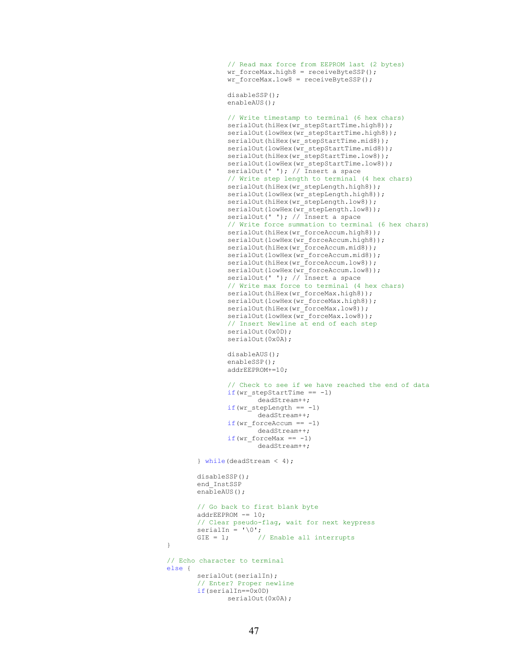```
// Read max force from EEPROM last (2 bytes) 
wr forceMax.high8 = receiveByteSSP();
wr forceMax.low8 = receiveByteSSP();
                                    disableSSP(); 
                                    enableAUS(); 
                                   // Write timestamp to terminal (6 hex chars) 
                                   serialOut(hiHex(wr_stepStartTime.high8));
                                   serialOut(lowHex(wr stepStartTime.high8));
                                   serialOut(hiHex(wr stepStartTime.mid8));
                                   serialOut(lowHex(wr_stepStartTime.mid8));
                                   serialOut(hiHex(wr stepStartTime.low8));
                                   serialOut(lowHex(wr stepStartTime.low8));
                                   serialOut(' '); // Insert a space
                                   // Write step length to terminal (4 hex chars) 
                                   serialOut(hiHex(wr stepLength.high8));
                                   serialOut(lowHex(wr stepLength.high8));
                                   serialOut(hiHex(wr stepLength.low8));
serialOut(lowHex(wr stepLength.low8));
serialOut(' '); // Insert a space
                                   // Write force summation to terminal (6 hex chars) 
                                   serialOut(hiHex(wr_forceAccum.high8));
                                   serialOut(lowHex(wr forceAccum.high8));
                                   serialOut(hiHex(wr_forceAccum.mid8));
                                   serialOut(lowHex(wr forceAccum.mid8));
                                   serialOut(hiHex(wr_forceAccum.low8));
                                   serialOut(lowHex(wr forceAccum.low8));
                                   serialOut(' '); // Insert a space
                                   // Write max force to terminal (4 hex chars) 
                                   serialOut(hiHex(wr_forceMax.high8));
                                   serialOut(lowHex(wr forceMax.high8));
                                   serialOut(hiHex(wr forceMax.low8));
                                   serialOut(lowHex(wr_forceMax.low8));
                                   // Insert Newline at end of each step 
                                   serialOut(0x0D);
                                   serialOut(0x0A);
                                    disableAUS(); 
                                    enableSSP(); 
                                    addrEEPROM+=10; 
                                   // Check to see if we have reached the end of data 
                                   if(wr\_stepStartTime == -1) deadStream++; 
                                   if(wr_stepLength == -1) deadStream++; 
                                   if(wr_forceAccum == -1)
                                           deadStream++; 
                                   if(wr forceMax == -1)
                                           deadStream++; 
                             } while(deadStream < 4); 
                             disableSSP(); 
                             end_InstSSP 
                            enableAUS();
                            // Go back to first blank byte 
                            addrEEPROM - = 10;
                            // Clear pseudo-flag, wait for next keypress 
                            serialIn = '\0';<br>GTE = 1:
                                         . ,<br>// Enable all interrupts
 }
                     // Echo character to terminal 
                      else { 
                            serialOut(serialIn);
                             // Enter? Proper newline 
                            if(serialIn==0x0D) 
                                   serialOut(0x0A);
```